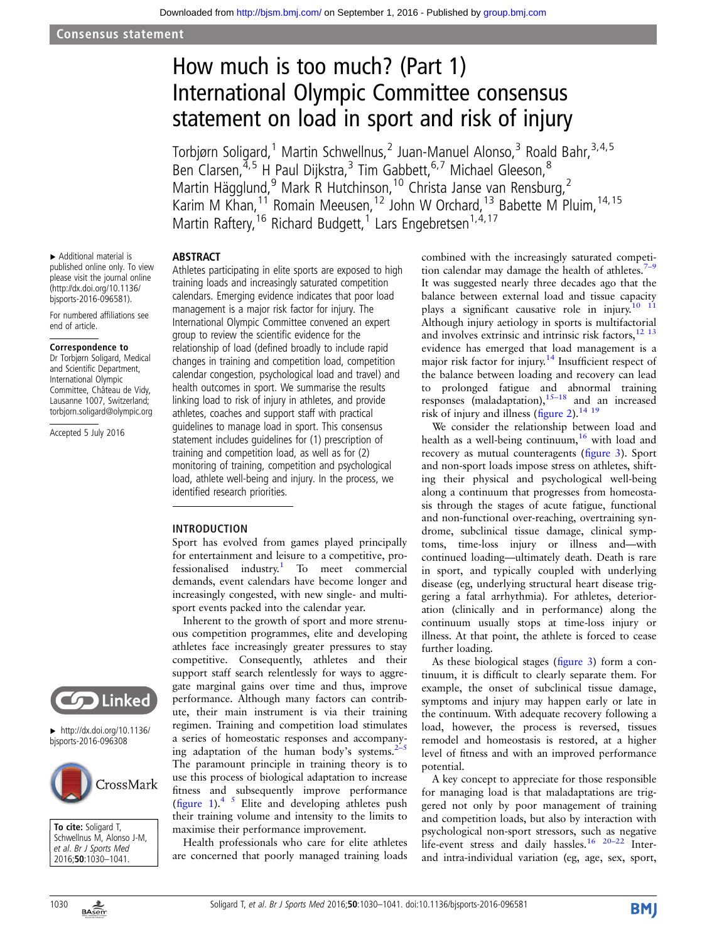# How much is too much? (Part 1) International Olympic Committee consensus statement on load in sport and risk of injury

Torbjørn Soligard,<sup>1</sup> Martin Schwellnus,<sup>2</sup> Juan-Manuel Alonso,<sup>3</sup> Roald Bahr,<sup>3,4,5</sup> Ben Clarsen,<sup>4,5</sup> H Paul Dijkstra,<sup>3</sup> Tim Gabbett,<sup>6,7</sup> Michael Gleeson,<sup>8</sup> Martin Hägglund,<sup>9</sup> Mark R Hutchinson,<sup>10</sup> Christa Janse van Rensburg,<sup>2</sup> Karim M Khan,<sup>11</sup> Romain Meeusen,<sup>12</sup> John W Orchard,<sup>13</sup> Babette M Pluim,<sup>14,15</sup> Martin Raftery, <sup>16</sup> Richard Budgett, <sup>1</sup> Lars Engebretsen<sup>1,4,17</sup>

# ABSTRACT

▸ Additional material is published online only. To view please visit the journal online [\(http://dx.doi.org/10.1136/](http://dx.doi.org/10.1136/bjsports-2016-096581) [bjsports-2016-096581](http://dx.doi.org/10.1136/bjsports-2016-096581)).

For numbered affiliations see end of article.

#### Correspondence to

Dr Torbjørn Soligard, Medical and Scientific Department, International Olympic Committee, Château de Vidy, Lausanne 1007, Switzerland; torbjorn.soligard@olympic.org

Accepted 5 July 2016



 $\blacktriangleright$  [http://dx.doi.org/10.1136/](http://dx.doi.org/10.1136/bjsports-2016-096308) [bjsports-2016-096308](http://dx.doi.org/10.1136/bjsports-2016-096308)



To cite: Soligard T, Schwellnus M, Alonso J-M, et al. Br J Sports Med 2016;50:1030–1041.

Athletes participating in elite sports are exposed to high training loads and increasingly saturated competition calendars. Emerging evidence indicates that poor load management is a major risk factor for injury. The International Olympic Committee convened an expert group to review the scientific evidence for the relationship of load (defined broadly to include rapid changes in training and competition load, competition calendar congestion, psychological load and travel) and health outcomes in sport. We summarise the results linking load to risk of injury in athletes, and provide athletes, coaches and support staff with practical guidelines to manage load in sport. This consensus statement includes guidelines for (1) prescription of training and competition load, as well as for (2) monitoring of training, competition and psychological load, athlete well-being and injury. In the process, we identified research priorities.

#### INTRODUCTION

Sport has evolved from games played principally for entertainment and leisure to a competitive, pro-fessionalised industry.<sup>[1](#page-8-0)</sup> To meet commercial demands, event calendars have become longer and increasingly congested, with new single- and multisport events packed into the calendar year.

Inherent to the growth of sport and more strenuous competition programmes, elite and developing athletes face increasingly greater pressures to stay competitive. Consequently, athletes and their support staff search relentlessly for ways to aggregate marginal gains over time and thus, improve performance. Although many factors can contribute, their main instrument is via their training regimen. Training and competition load stimulates a series of homeostatic responses and accompany-ing adaptation of the human body's systems.<sup>[2](#page-8-0)-</sup> The paramount principle in training theory is to use this process of biological adaptation to increase fitness and subsequently improve performance (fi[gure 1](#page-1-0)).<sup>[4 5](#page-8-0)</sup> Elite and developing athletes push their training volume and intensity to the limits to maximise their performance improvement.

Health professionals who care for elite athletes are concerned that poorly managed training loads

combined with the increasingly saturated competition calendar may damage the health of athletes. $7-9$  $7-9$ It was suggested nearly three decades ago that the balance between external load and tissue capacity plays a significant causative role in injury.<sup>10</sup> <sup>11</sup> Although injury aetiology in sports is multifactorial and involves extrinsic and intrinsic risk factors,  $12 \tcdot 13$ evidence has emerged that load management is a major risk factor for injury.<sup>[14](#page-8-0)</sup> Insufficient respect of the balance between loading and recovery can lead to prolonged fatigue and abnormal training responses (maladaptation), $15-18$  $15-18$  and an increased risk of injury and illness (fi[gure 2](#page-1-0)).<sup>[14 19](#page-8-0)</sup>

We consider the relationship between load and health as a well-being continuum,  $16$  with load and recovery as mutual counteragents (fi[gure 3](#page-2-0)). Sport and non-sport loads impose stress on athletes, shifting their physical and psychological well-being along a continuum that progresses from homeostasis through the stages of acute fatigue, functional and non-functional over-reaching, overtraining syndrome, subclinical tissue damage, clinical symptoms, time-loss injury or illness and—with continued loading—ultimately death. Death is rare in sport, and typically coupled with underlying disease (eg, underlying structural heart disease triggering a fatal arrhythmia). For athletes, deterioration (clinically and in performance) along the continuum usually stops at time-loss injury or illness. At that point, the athlete is forced to cease further loading.

As these biological stages (fi[gure 3\)](#page-2-0) form a continuum, it is difficult to clearly separate them. For example, the onset of subclinical tissue damage, symptoms and injury may happen early or late in the continuum. With adequate recovery following a load, however, the process is reversed, tissues remodel and homeostasis is restored, at a higher level of fitness and with an improved performance potential.

A key concept to appreciate for those responsible for managing load is that maladaptations are triggered not only by poor management of training and competition loads, but also by interaction with psychological non-sport stressors, such as negative life-event stress and daily hassles.<sup>16</sup> <sup>20–22</sup> Interand intra-individual variation (eg, age, sex, sport,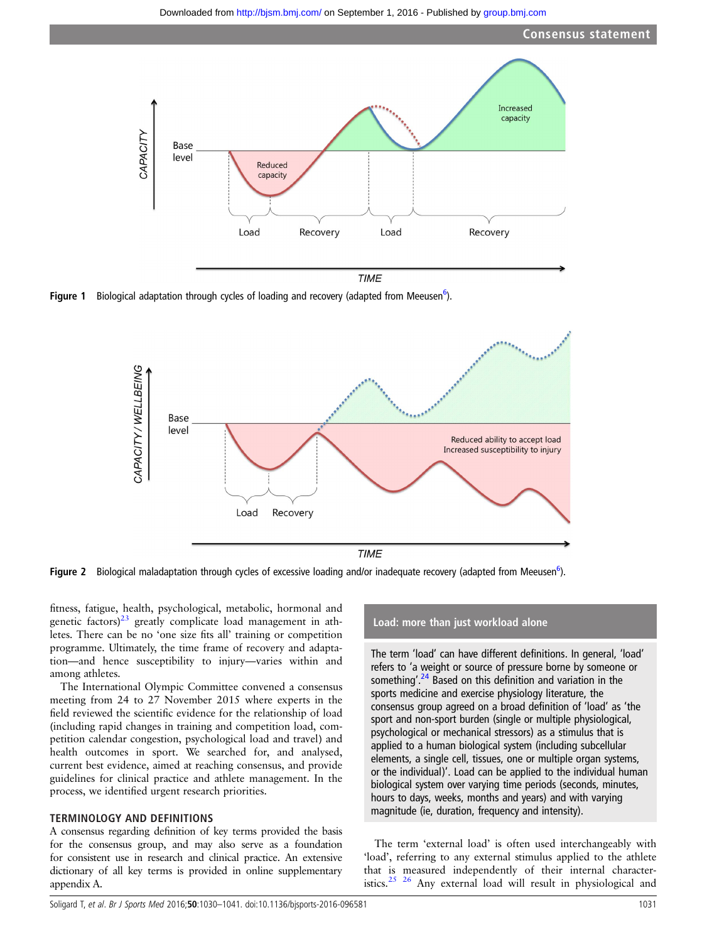<span id="page-1-0"></span>

TIME

Figure 1 Biological adaptation through cycles of loading and recovery (adapted from Meeusen<sup>[6](#page-8-0)</sup>).



Figure 2 Biological maladaptation through cycles of excessive loading and/or inadequate recovery (adapted from Meeusen<sup>6</sup>).

fitness, fatigue, health, psychological, metabolic, hormonal and genetic factors) $23$  greatly complicate load management in athletes. There can be no 'one size fits all' training or competition programme. Ultimately, the time frame of recovery and adaptation—and hence susceptibility to injury—varies within and among athletes.

The International Olympic Committee convened a consensus meeting from 24 to 27 November 2015 where experts in the field reviewed the scientific evidence for the relationship of load (including rapid changes in training and competition load, competition calendar congestion, psychological load and travel) and health outcomes in sport. We searched for, and analysed, current best evidence, aimed at reaching consensus, and provide guidelines for clinical practice and athlete management. In the process, we identified urgent research priorities.

# TERMINOLOGY AND DEFINITIONS

A consensus regarding definition of key terms provided the basis for the consensus group, and may also serve as a foundation for consistent use in research and clinical practice. An extensive dictionary of all key terms is provided in online supplementary appendix A.

# Load: more than just workload alone

The term 'load' can have different definitions. In general, 'load' refers to 'a weight or source of pressure borne by someone or something'.<sup>[24](#page-10-0)</sup> Based on this definition and variation in the sports medicine and exercise physiology literature, the consensus group agreed on a broad definition of 'load' as 'the sport and non-sport burden (single or multiple physiological, psychological or mechanical stressors) as a stimulus that is applied to a human biological system (including subcellular elements, a single cell, tissues, one or multiple organ systems, or the individual)'. Load can be applied to the individual human biological system over varying time periods (seconds, minutes, hours to days, weeks, months and years) and with varying magnitude (ie, duration, frequency and intensity).

The term 'external load' is often used interchangeably with 'load', referring to any external stimulus applied to the athlete that is measured independently of their internal characteristics.[25 26](#page-8-0) Any external load will result in physiological and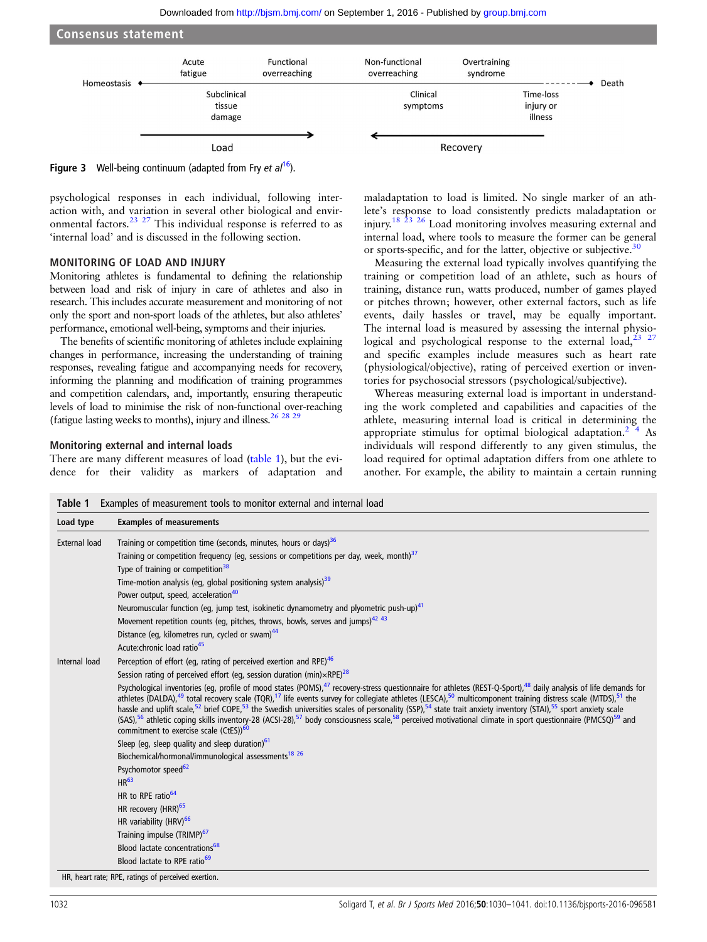Downloaded from<http://bjsm.bmj.com/>on September 1, 2016 - Published by [group.bmj.com](http://group.bmj.com)

<span id="page-2-0"></span>

Figure 3 Well-being continuum (adapted from Fry et  $a/16$ ).

psychological responses in each individual, following interaction with, and variation in several other biological and environmental factors.[23 27](#page-8-0) This individual response is referred to as 'internal load' and is discussed in the following section.

# MONITORING OF LOAD AND INJURY

Monitoring athletes is fundamental to defining the relationship between load and risk of injury in care of athletes and also in research. This includes accurate measurement and monitoring of not only the sport and non-sport loads of the athletes, but also athletes' performance, emotional well-being, symptoms and their injuries.

The benefits of scientific monitoring of athletes include explaining changes in performance, increasing the understanding of training responses, revealing fatigue and accompanying needs for recovery, informing the planning and modification of training programmes and competition calendars, and, importantly, ensuring therapeutic levels of load to minimise the risk of non-functional over-reaching (fatigue lasting weeks to months), injury and illness[.26 28 29](#page-8-0)

#### Monitoring external and internal loads

There are many different measures of load (table 1), but the evidence for their validity as markers of adaptation and

maladaptation to load is limited. No single marker of an athlete's response to load consistently predicts maladaptation or injury.[18 23 26](#page-8-0) Load monitoring involves measuring external and internal load, where tools to measure the former can be general or sports-specific, and for the latter, objective or subjective.<sup>[30](#page-8-0)</sup>

Measuring the external load typically involves quantifying the training or competition load of an athlete, such as hours of training, distance run, watts produced, number of games played or pitches thrown; however, other external factors, such as life events, daily hassles or travel, may be equally important. The internal load is measured by assessing the internal physiological and psychological response to the external load, $23 \times 27$ and specific examples include measures such as heart rate (physiological/objective), rating of perceived exertion or inventories for psychosocial stressors (psychological/subjective).

Whereas measuring external load is important in understanding the work completed and capabilities and capacities of the athlete, measuring internal load is critical in determining the appropriate stimulus for optimal biological adaptation.<sup>2  $4$ </sup> As individuals will respond differently to any given stimulus, the load required for optimal adaptation differs from one athlete to another. For example, the ability to maintain a certain running

| Load type            | <b>Examples of measurements</b>                                                                                                                                                                                                                                                                                                                                                                                                                                                                                                                                                                                                                                                                                                                                                                                                                                                |
|----------------------|--------------------------------------------------------------------------------------------------------------------------------------------------------------------------------------------------------------------------------------------------------------------------------------------------------------------------------------------------------------------------------------------------------------------------------------------------------------------------------------------------------------------------------------------------------------------------------------------------------------------------------------------------------------------------------------------------------------------------------------------------------------------------------------------------------------------------------------------------------------------------------|
| <b>External load</b> | Training or competition time (seconds, minutes, hours or days) $36$                                                                                                                                                                                                                                                                                                                                                                                                                                                                                                                                                                                                                                                                                                                                                                                                            |
|                      | Training or competition frequency (eg, sessions or competitions per day, week, month) <sup>37</sup>                                                                                                                                                                                                                                                                                                                                                                                                                                                                                                                                                                                                                                                                                                                                                                            |
|                      | Type of training or competition <sup>38</sup>                                                                                                                                                                                                                                                                                                                                                                                                                                                                                                                                                                                                                                                                                                                                                                                                                                  |
|                      | Time-motion analysis (eg, global positioning system analysis) <sup>39</sup>                                                                                                                                                                                                                                                                                                                                                                                                                                                                                                                                                                                                                                                                                                                                                                                                    |
|                      | Power output, speed, acceleration <sup>40</sup>                                                                                                                                                                                                                                                                                                                                                                                                                                                                                                                                                                                                                                                                                                                                                                                                                                |
|                      | Neuromuscular function (eq. jump test, isokinetic dynamometry and plyometric push-up) <sup>41</sup>                                                                                                                                                                                                                                                                                                                                                                                                                                                                                                                                                                                                                                                                                                                                                                            |
|                      | Movement repetition counts (eg, pitches, throws, bowls, serves and jumps) <sup>42 43</sup>                                                                                                                                                                                                                                                                                                                                                                                                                                                                                                                                                                                                                                                                                                                                                                                     |
|                      | Distance (eq. kilometres run, cycled or swam) <sup>44</sup>                                                                                                                                                                                                                                                                                                                                                                                                                                                                                                                                                                                                                                                                                                                                                                                                                    |
|                      | Acute: chronic load ratio <sup>45</sup>                                                                                                                                                                                                                                                                                                                                                                                                                                                                                                                                                                                                                                                                                                                                                                                                                                        |
| Internal load        | Perception of effort (eq. rating of perceived exertion and RPE) <sup>46</sup>                                                                                                                                                                                                                                                                                                                                                                                                                                                                                                                                                                                                                                                                                                                                                                                                  |
|                      | Session rating of perceived effort (eg, session duration (min)×RPE) <sup>28</sup>                                                                                                                                                                                                                                                                                                                                                                                                                                                                                                                                                                                                                                                                                                                                                                                              |
|                      | Psychological inventories (eg, profile of mood states (POMS), $^{47}$ recovery-stress questionnaire for athletes (REST-Q-Sport), $^{48}$ daily analysis of life demands for<br>athletes (DALDA), <sup>49</sup> total recovery scale (TQR), <sup>17</sup> life events survey for collegiate athletes (LESCA), <sup>50</sup> multicomponent training distress scale (MTDS), <sup>51</sup> the<br>hassle and uplift scale, <sup>52</sup> brief COPE, <sup>53</sup> the Swedish universities scales of personality (SSP), <sup>54</sup> state trait anxiety inventory (STAI), <sup>55</sup> sport anxiety scale<br>(SAS), <sup>56</sup> athletic coping skills inventory-28 (ACSI-28), <sup>57</sup> body consciousness scale, <sup>58</sup> perceived motivational climate in sport questionnaire (PMCSQ) <sup>59</sup> and<br>commitment to exercise scale (CtES)) <sup>60</sup> |
|                      | Sleep (eg, sleep quality and sleep duration) <sup>61</sup>                                                                                                                                                                                                                                                                                                                                                                                                                                                                                                                                                                                                                                                                                                                                                                                                                     |
|                      | Biochemical/hormonal/immunological assessments <sup>18 26</sup>                                                                                                                                                                                                                                                                                                                                                                                                                                                                                                                                                                                                                                                                                                                                                                                                                |
|                      | Psychomotor speed <sup>62</sup>                                                                                                                                                                                                                                                                                                                                                                                                                                                                                                                                                                                                                                                                                                                                                                                                                                                |
|                      | HR <sup>63</sup>                                                                                                                                                                                                                                                                                                                                                                                                                                                                                                                                                                                                                                                                                                                                                                                                                                                               |
|                      | HR to RPE ratio $^{64}$                                                                                                                                                                                                                                                                                                                                                                                                                                                                                                                                                                                                                                                                                                                                                                                                                                                        |
|                      | HR recovery (HRR) <sup>65</sup>                                                                                                                                                                                                                                                                                                                                                                                                                                                                                                                                                                                                                                                                                                                                                                                                                                                |
|                      | HR variability (HRV) <sup>66</sup>                                                                                                                                                                                                                                                                                                                                                                                                                                                                                                                                                                                                                                                                                                                                                                                                                                             |
|                      | Training impulse (TRIMP) <sup>67</sup>                                                                                                                                                                                                                                                                                                                                                                                                                                                                                                                                                                                                                                                                                                                                                                                                                                         |
|                      | Blood lactate concentrations <sup>68</sup>                                                                                                                                                                                                                                                                                                                                                                                                                                                                                                                                                                                                                                                                                                                                                                                                                                     |
|                      | Blood lactate to RPE ratio <sup>69</sup>                                                                                                                                                                                                                                                                                                                                                                                                                                                                                                                                                                                                                                                                                                                                                                                                                                       |

HR, heart rate; RPE, ratings of perceived exertion.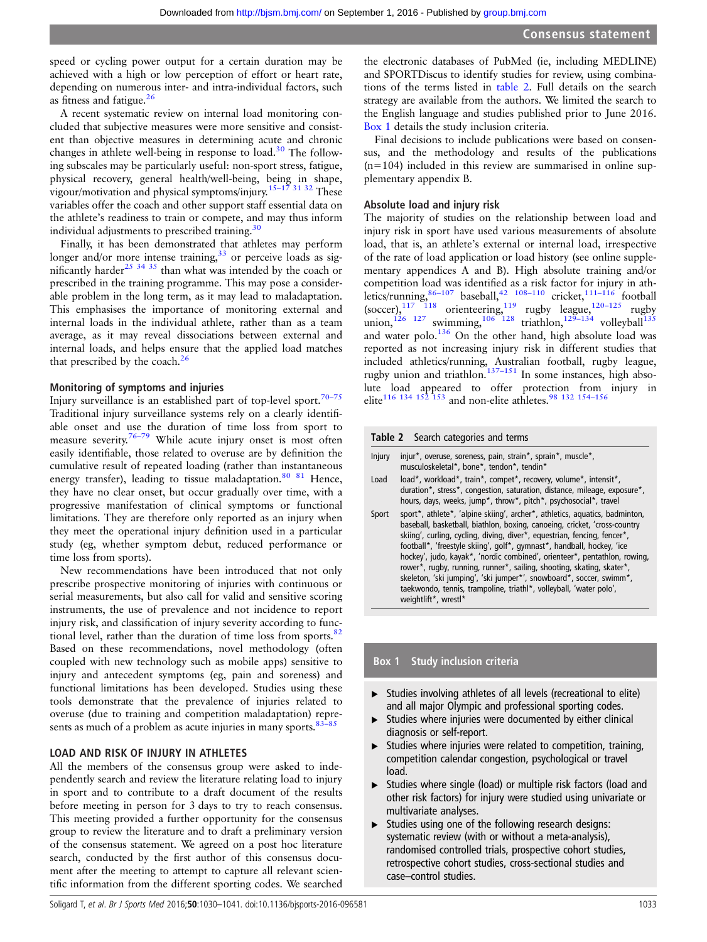speed or cycling power output for a certain duration may be achieved with a high or low perception of effort or heart rate, depending on numerous inter- and intra-individual factors, such as fitness and fatigue.<sup>26</sup>

A recent systematic review on internal load monitoring concluded that subjective measures were more sensitive and consistent than objective measures in determining acute and chronic changes in athlete well-being in response to load.<sup>[30](#page-8-0)</sup> The following subscales may be particularly useful: non-sport stress, fatigue, physical recovery, general health/well-being, being in shape, vigour/motivation and physical symptoms/injury.[15](#page-8-0)–17 [31 32](#page-8-0) These variables offer the coach and other support staff essential data on the athlete's readiness to train or compete, and may thus inform individual adjustments to prescribed training.<sup>[30](#page-8-0)</sup>

Finally, it has been demonstrated that athletes may perform longer and/or more intense training,  $33$  or perceive loads as significantly harder<sup>25 34</sup> <sup>35</sup> than what was intended by the coach or prescribed in the training programme. This may pose a considerable problem in the long term, as it may lead to maladaptation. This emphasises the importance of monitoring external and internal loads in the individual athlete, rather than as a team average, as it may reveal dissociations between external and internal loads, and helps ensure that the applied load matches that prescribed by the coach.<sup>[26](#page-8-0)</sup>

#### Monitoring of symptoms and injuries

Injury surveillance is an established part of top-level sport.<sup>70-75</sup> Traditional injury surveillance systems rely on a clearly identifiable onset and use the duration of time loss from sport to measure severity. $76-79$  $76-79$  While acute injury onset is most often easily identifiable, those related to overuse are by definition the cumulative result of repeated loading (rather than instantaneous energy transfer), leading to tissue maladaptation.<sup>80</sup> <sup>81</sup> Hence, they have no clear onset, but occur gradually over time, with a progressive manifestation of clinical symptoms or functional limitations. They are therefore only reported as an injury when they meet the operational injury definition used in a particular study (eg, whether symptom debut, reduced performance or time loss from sports).

New recommendations have been introduced that not only prescribe prospective monitoring of injuries with continuous or serial measurements, but also call for valid and sensitive scoring instruments, the use of prevalence and not incidence to report injury risk, and classification of injury severity according to functional level, rather than the duration of time loss from sports.<sup>82</sup> Based on these recommendations, novel methodology (often coupled with new technology such as mobile apps) sensitive to injury and antecedent symptoms (eg, pain and soreness) and functional limitations has been developed. Studies using these tools demonstrate that the prevalence of injuries related to overuse (due to training and competition maladaptation) represents as much of a problem as acute injuries in many sports.<sup>8</sup>

# LOAD AND RISK OF INJURY IN ATHLETES

All the members of the consensus group were asked to independently search and review the literature relating load to injury in sport and to contribute to a draft document of the results before meeting in person for 3 days to try to reach consensus. This meeting provided a further opportunity for the consensus group to review the literature and to draft a preliminary version of the consensus statement. We agreed on a post hoc literature search, conducted by the first author of this consensus document after the meeting to attempt to capture all relevant scientific information from the different sporting codes. We searched

the electronic databases of PubMed (ie, including MEDLINE) and SPORTDiscus to identify studies for review, using combinations of the terms listed in table 2. Full details on the search strategy are available from the authors. We limited the search to the English language and studies published prior to June 2016. Box 1 details the study inclusion criteria.

Final decisions to include publications were based on consensus, and the methodology and results of the publications  $(n=104)$  included in this review are summarised in online supplementary appendix B.

# Absolute load and injury risk

The majority of studies on the relationship between load and injury risk in sport have used various measurements of absolute load, that is, an athlete's external or internal load, irrespective of the rate of load application or load history (see online supplementary appendices A and B). High absolute training and/or competition load was identified as a risk factor for injury in athletics/running,  $86-107$  $86-107$  baseball,  $42 \frac{108-110}{108}$  $42 \frac{108-110}{108}$  cricket,  $111-116$  $111-116$  football (soccer),<sup>[117 118](#page-10-0)</sup> orienteering,<sup>119</sup> rugby league,<sup>[120](#page-10-0)–125</sup> rugby union,  $126 \t 127$  swimming,  $106 \t 128$  triathlon,  $129-134$  $129-134$  volleyball<sup>135</sup> and water polo.[136](#page-10-0) On the other hand, high absolute load was reported as not increasing injury risk in different studies that included athletics/running, Australian football, rugby league, rugby union and triathlon.<sup>[137](#page-10-0)-151</sup> In some instances, high absolute load appeared to offer protection from injury in elite<sup>116</sup> <sup>134</sup> <sup>152</sup> <sup>153</sup> and non-elite athletes.<sup>[98](#page-9-0)</sup> <sup>132</sup> <sup>154–[156](#page-10-0)</sup>

Table 2 Search categories and terms

| Injury | injur*, overuse, soreness, pain, strain*, sprain*, muscle*,<br>musculoskeletal*, bone*, tendon*, tendin*                                                                                                                                                                                                                                                                                                                                                                                                                                                                                                                                  |
|--------|-------------------------------------------------------------------------------------------------------------------------------------------------------------------------------------------------------------------------------------------------------------------------------------------------------------------------------------------------------------------------------------------------------------------------------------------------------------------------------------------------------------------------------------------------------------------------------------------------------------------------------------------|
| Load   | load*, workload*, train*, compet*, recovery, volume*, intensit*,<br>duration*, stress*, congestion, saturation, distance, mileage, exposure*,<br>hours, days, weeks, jump <sup>*</sup> , throw <sup>*</sup> , pitch <sup>*</sup> , psychosocial <sup>*</sup> , travel                                                                                                                                                                                                                                                                                                                                                                     |
| Sport  | sport*, athlete*, 'alpine skiing', archer*, athletics, aquatics, badminton,<br>baseball, basketball, biathlon, boxing, canoeing, cricket, 'cross-country<br>skiing', curling, cycling, diving, diver*, equestrian, fencing, fencer*,<br>football*, 'freestyle skiing', golf*, gymnast*, handball, hockey, 'ice<br>hockey', judo, kayak*, 'nordic combined', orienteer*, pentathlon, rowing,<br>rower*, rugby, running, runner*, sailing, shooting, skating, skater*,<br>skeleton, 'ski jumping', 'ski jumper*', snowboard*, soccer, swimm*,<br>taekwondo, tennis, trampoline, triathl*, volleyball, 'water polo',<br>weightlift*, wrestl* |
|        |                                                                                                                                                                                                                                                                                                                                                                                                                                                                                                                                                                                                                                           |

# Box 1 Study inclusion criteria

- ▸ Studies involving athletes of all levels (recreational to elite) and all major Olympic and professional sporting codes.
- $\triangleright$  Studies where injuries were documented by either clinical diagnosis or self-report.
- ▸ Studies where injuries were related to competition, training, competition calendar congestion, psychological or travel load.
- ▸ Studies where single (load) or multiple risk factors (load and other risk factors) for injury were studied using univariate or multivariate analyses.
- ▸ Studies using one of the following research designs: systematic review (with or without a meta-analysis), randomised controlled trials, prospective cohort studies, retrospective cohort studies, cross-sectional studies and case–control studies.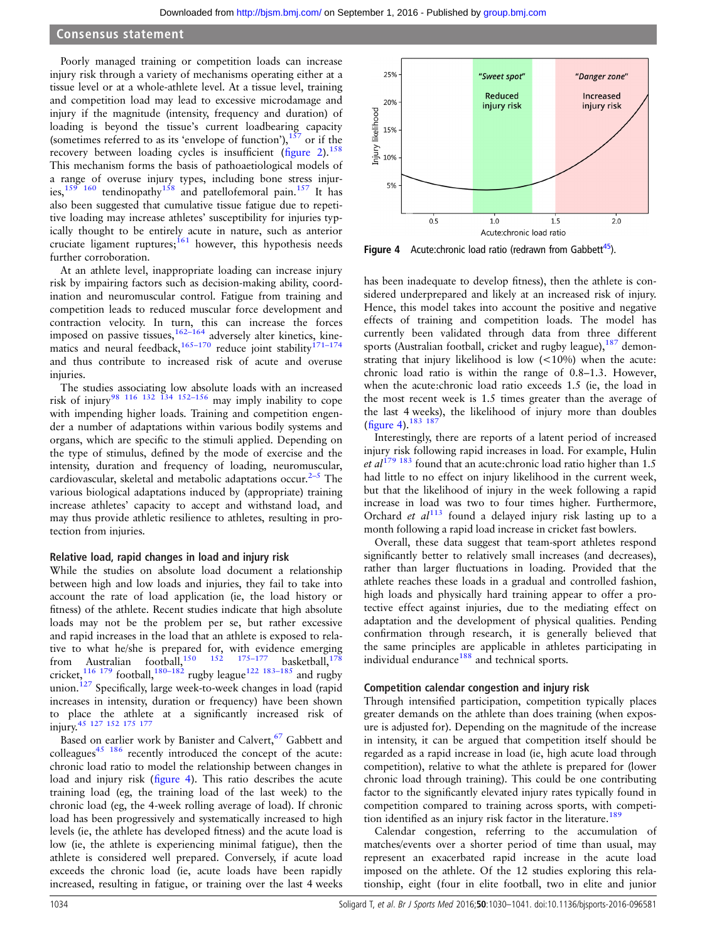Poorly managed training or competition loads can increase injury risk through a variety of mechanisms operating either at a tissue level or at a whole-athlete level. At a tissue level, training and competition load may lead to excessive microdamage and injury if the magnitude (intensity, frequency and duration) of loading is beyond the tissue's current loadbearing capacity (sometimes referred to as its 'envelope of function'),  $157$  or if the recovery between loading cycles is insufficient (fi[gure 2](#page-1-0)).<sup>[158](#page-10-0)</sup> This mechanism forms the basis of pathoaetiological models of a range of overuse injury types, including bone stress injuries, $159 \t{160}$  tendinopathy $158$  and patellofemoral pain.<sup>[157](#page-10-0)</sup> It has also been suggested that cumulative tissue fatigue due to repetitive loading may increase athletes' susceptibility for injuries typically thought to be entirely acute in nature, such as anterior cruciate ligament ruptures;<sup>[161](#page-10-0)</sup> however, this hypothesis needs further corroboration.

At an athlete level, inappropriate loading can increase injury risk by impairing factors such as decision-making ability, coordination and neuromuscular control. Fatigue from training and competition leads to reduced muscular force development and contraction velocity. In turn, this can increase the forces imposed on passive tissues,  $162-164$  $162-164$  adversely alter kinetics, kine-matics and neural feedback,<sup>[165](#page-10-0)–170</sup> reduce joint stability<sup>171–[174](#page-11-0)</sup> and thus contribute to increased risk of acute and overuse injuries.

The studies associating low absolute loads with an increased risk of injury<sup>[98](#page-9-0) [116 132 134 152](#page-10-0)–156</sup> may imply inability to cope with impending higher loads. Training and competition engender a number of adaptations within various bodily systems and organs, which are specific to the stimuli applied. Depending on the type of stimulus, defined by the mode of exercise and the intensity, duration and frequency of loading, neuromuscular, cardiovascular, skeletal and metabolic adaptations occur. $2-5$  The various biological adaptations induced by (appropriate) training increase athletes' capacity to accept and withstand load, and may thus provide athletic resilience to athletes, resulting in protection from injuries.

#### Relative load, rapid changes in load and injury risk

While the studies on absolute load document a relationship between high and low loads and injuries, they fail to take into account the rate of load application (ie, the load history or fitness) of the athlete. Recent studies indicate that high absolute loads may not be the problem per se, but rather excessive and rapid increases in the load that an athlete is exposed to relative to what he/she is prepared for, with evidence emerging<br>from Australian football,  $150$   $152$   $175-177$  basketball,  $178$ from Australian football,<sup>150</sup> cricket,<sup>[116](#page-10-0) [179](#page-11-0)</sup> football,<sup>[180](#page-11-0)–182</sup> rugby league<sup>[122](#page-10-0) [183](#page-11-0)–185</sup> and rugby union.<sup>[127](#page-10-0)</sup> Specifically, large week-to-week changes in load (rapid increases in intensity, duration or frequency) have been shown to place the athlete at a significantly increased risk of injury.<sup>[45](#page-9-0)</sup> [127 152](#page-10-0) [175 177](#page-11-0)

Based on earlier work by Banister and Calvert,<sup>[67](#page-9-0)</sup> Gabbett and colleagues<sup> $45$  [186](#page-11-0)</sup> recently introduced the concept of the acute: chronic load ratio to model the relationship between changes in load and injury risk (figure 4). This ratio describes the acute training load (eg, the training load of the last week) to the chronic load (eg, the 4-week rolling average of load). If chronic load has been progressively and systematically increased to high levels (ie, the athlete has developed fitness) and the acute load is low (ie, the athlete is experiencing minimal fatigue), then the athlete is considered well prepared. Conversely, if acute load exceeds the chronic load (ie, acute loads have been rapidly increased, resulting in fatigue, or training over the last 4 weeks



**Figure 4** Acute: chronic load ratio (redrawn from Gabbett<sup>45</sup>).

has been inadequate to develop fitness), then the athlete is considered underprepared and likely at an increased risk of injury. Hence, this model takes into account the positive and negative effects of training and competition loads. The model has currently been validated through data from three different sports (Australian football, cricket and rugby league), $187$  demonstrating that injury likelihood is low (<10%) when the acute: chronic load ratio is within the range of 0.8–1.3. However, when the acute:chronic load ratio exceeds 1.5 (ie, the load in the most recent week is 1.5 times greater than the average of the last 4 weeks), the likelihood of injury more than doubles (figure 4).<sup>183</sup> <sup>18</sup>

Interestingly, there are reports of a latent period of increased injury risk following rapid increases in load. For example, Hulin et  $al^{179}$  183 found that an acute: chronic load ratio higher than 1.5 had little to no effect on injury likelihood in the current week, but that the likelihood of injury in the week following a rapid increase in load was two to four times higher. Furthermore, Orchard et  $al^{113}$  $al^{113}$  $al^{113}$  found a delayed injury risk lasting up to a month following a rapid load increase in cricket fast bowlers.

Overall, these data suggest that team-sport athletes respond significantly better to relatively small increases (and decreases), rather than larger fluctuations in loading. Provided that the athlete reaches these loads in a gradual and controlled fashion, high loads and physically hard training appear to offer a protective effect against injuries, due to the mediating effect on adaptation and the development of physical qualities. Pending confirmation through research, it is generally believed that the same principles are applicable in athletes participating in individual endurance<sup>[188](#page-11-0)</sup> and technical sports.

# Competition calendar congestion and injury risk

Through intensified participation, competition typically places greater demands on the athlete than does training (when exposure is adjusted for). Depending on the magnitude of the increase in intensity, it can be argued that competition itself should be regarded as a rapid increase in load (ie, high acute load through competition), relative to what the athlete is prepared for (lower chronic load through training). This could be one contributing factor to the significantly elevated injury rates typically found in competition compared to training across sports, with competition identified as an injury risk factor in the literature.<sup>189</sup>

Calendar congestion, referring to the accumulation of matches/events over a shorter period of time than usual, may represent an exacerbated rapid increase in the acute load imposed on the athlete. Of the 12 studies exploring this relationship, eight (four in elite football, two in elite and junior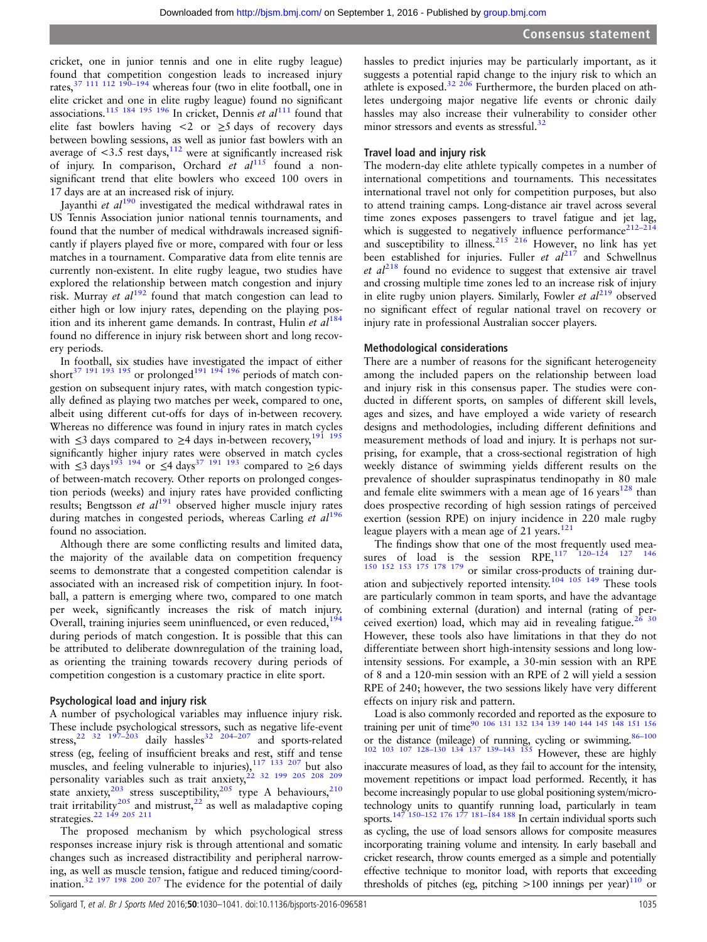cricket, one in junior tennis and one in elite rugby league) found that competition congestion leads to increased injury rates,[37](#page-8-0) [111 112](#page-10-0) 190–[194](#page-11-0) whereas four (two in elite football, one in elite cricket and one in elite rugby league) found no significant associations.<sup>[115](#page-10-0) [184 195 196](#page-11-0)</sup> In cricket, Dennis et  $al^{111}$  $al^{111}$  $al^{111}$  found that elite fast bowlers having  $\lt 2$  or  $\geq 5$  days of recovery days between bowling sessions, as well as junior fast bowlers with an average of  $\lt3.5$  rest days,<sup>[112](#page-10-0)</sup> were at significantly increased risk of injury. In comparison, Orchard et  $al^{115}$  $al^{115}$  $al^{115}$  found a nonsignificant trend that elite bowlers who exceed 100 overs in 17 days are at an increased risk of injury.

Jayanthi *et al*<sup>[190](#page-11-0)</sup> investigated the medical withdrawal rates in US Tennis Association junior national tennis tournaments, and found that the number of medical withdrawals increased significantly if players played five or more, compared with four or less matches in a tournament. Comparative data from elite tennis are currently non-existent. In elite rugby league, two studies have explored the relationship between match congestion and injury risk. Murray et  $al^{192}$  $al^{192}$  $al^{192}$  found that match congestion can lead to either high or low injury rates, depending on the playing position and its inherent game demands. In contrast, Hulin et  $al^{184}$  $al^{184}$  $al^{184}$ found no difference in injury risk between short and long recovery periods.

In football, six studies have investigated the impact of either short<sup>[37](#page-8-0)</sup> <sup>191 193</sup> <sup>195</sup> or prolonged<sup>191 194</sup> <sup>196</sup> periods of match congestion on subsequent injury rates, with match congestion typically defined as playing two matches per week, compared to one, albeit using different cut-offs for days of in-between recovery. Whereas no difference was found in injury rates in match cycles with  $\leq$ 3 days compared to  $\geq$ 4 days in-between recovery,<sup>[191 195](#page-11-0)</sup> significantly higher injury rates were observed in match cycles with  $\leq$ 3 days<sup>193</sup> <sup>194</sup> or  $\leq$ 4 days<sup>[37](#page-8-0) [191 193](#page-11-0)</sup> compared to  $\geq$ 6 days of between-match recovery. Other reports on prolonged congestion periods (weeks) and injury rates have provided conflicting results; Bengtsson et  $al^{191}$  $al^{191}$  $al^{191}$  observed higher muscle injury rates during matches in congested periods, whereas Carling et  $al^{196}$  $al^{196}$  $al^{196}$ found no association.

Although there are some conflicting results and limited data, the majority of the available data on competition frequency seems to demonstrate that a congested competition calendar is associated with an increased risk of competition injury. In football, a pattern is emerging where two, compared to one match per week, significantly increases the risk of match injury. Overall, training injuries seem uninfluenced, or even reduced,<sup>194</sup> during periods of match congestion. It is possible that this can be attributed to deliberate downregulation of the training load, as orienting the training towards recovery during periods of competition congestion is a customary practice in elite sport.

#### Psychological load and injury risk

A number of psychological variables may influence injury risk. These include psychological stressors, such as negative life-event stress,<sup>[22 32](#page-8-0) 197–[203](#page-11-0)</sup> daily hassles<sup>32 [204](#page-11-0)–207</sup> and sports-related stress (eg, feeling of insufficient breaks and rest, stiff and tense muscles, and feeling vulnerable to injuries), [117 133](#page-10-0) [207](#page-11-0) but also personality variables such as trait anxiety,  $22 \frac{32}{199}$   $205$   $208$   $209$ state anxiety,  $203$  stress susceptibility,  $205$  type A behaviours,  $210$ trait irritability<sup>[205](#page-11-0)</sup> and mistrust,<sup>[22](#page-8-0)</sup> as well as maladaptive coping strategies.<sup>[22](#page-8-0)</sup> <sup>149</sup> <sup>205</sup> <sup>211</sup>

The proposed mechanism by which psychological stress responses increase injury risk is through attentional and somatic changes such as increased distractibility and peripheral narrowing, as well as muscle tension, fatigue and reduced timing/coord-ination.<sup>32 [197 198 200 207](#page-11-0)</sup> The evidence for the potential of daily

hassles to predict injuries may be particularly important, as it suggests a potential rapid change to the injury risk to which an athlete is exposed.<sup>[32](#page-8-0) [206](#page-11-0)</sup> Furthermore, the burden placed on athletes undergoing major negative life events or chronic daily hassles may also increase their vulnerability to consider other minor stressors and events as stressful.<sup>[32](#page-8-0)</sup>

#### Travel load and injury risk

The modern-day elite athlete typically competes in a number of international competitions and tournaments. This necessitates international travel not only for competition purposes, but also to attend training camps. Long-distance air travel across several time zones exposes passengers to travel fatigue and jet lag, which is suggested to negatively influence performance<sup>[212](#page-11-0)–214</sup> and susceptibility to illness.  $215$   $216$  However, no link has yet been established for injuries. Fuller *et al*<sup>[217](#page-11-0)</sup> and Schwellnus et  $al^{218}$  $al^{218}$  $al^{218}$  found no evidence to suggest that extensive air travel and crossing multiple time zones led to an increase risk of injury in elite rugby union players. Similarly, Fowler et  $al^{219}$  $al^{219}$  $al^{219}$  observed no significant effect of regular national travel on recovery or injury rate in professional Australian soccer players.

#### Methodological considerations

There are a number of reasons for the significant heterogeneity among the included papers on the relationship between load and injury risk in this consensus paper. The studies were conducted in different sports, on samples of different skill levels, ages and sizes, and have employed a wide variety of research designs and methodologies, including different definitions and measurement methods of load and injury. It is perhaps not surprising, for example, that a cross-sectional registration of high weekly distance of swimming yields different results on the prevalence of shoulder supraspinatus tendinopathy in 80 male and female elite swimmers with a mean age of  $16$  years<sup>[128](#page-10-0)</sup> than does prospective recording of high session ratings of perceived exertion (session RPE) on injury incidence in 220 male rugby league players with a mean age of 21 years.<sup>121</sup>

The findings show that one of the most frequently used measures of load is the session RPE,  $117 \t120-124 \t127 \t146$ [150 152 153](#page-10-0) [175 178 179](#page-11-0) or similar cross-products of training duration and subjectively reported intensity.[104 105 149](#page-10-0) These tools are particularly common in team sports, and have the advantage of combining external (duration) and internal (rating of perceived exertion) load, which may aid in revealing fatigue. $2630$ However, these tools also have limitations in that they do not differentiate between short high-intensity sessions and long lowintensity sessions. For example, a 30-min session with an RPE of 8 and a 120-min session with an RPE of 2 will yield a session RPE of 240; however, the two sessions likely have very different effects on injury risk and pattern.

Load is also commonly recorded and reported as the exposure to training per unit of time<sup>[90](#page-9-0)</sup> [106 131 132 134 139 140 144 145 148 151 156](#page-10-0) or the distance (mileage) of running, cycling or swimming.<sup>86-[100](#page-9-0)</sup> 01 the distance tunitary of future of  $\frac{1}{102}$  [102 103](#page-9-0) [107 128](#page-10-0)–130 [134 137](#page-10-0) 139–[143 155](#page-10-0) However, these are highly inaccurate measures of load, as they fail to account for the intensity, movement repetitions or impact load performed. Recently, it has become increasingly popular to use global positioning system/microtechnology units to quantify running load, particularly in team sports.<sup>147</sup> <sup>150–152</sup> <sup>176</sup> <sup>177</sup> <sup>181–184</sup> <sup>188</sup> In certain individual sports such as cycling, the use of load sensors allows for composite measures incorporating training volume and intensity. In early baseball and cricket research, throw counts emerged as a simple and potentially effective technique to monitor load, with reports that exceeding thresholds of pitches (eg, pitching  $>100$  innings per year) $110$  or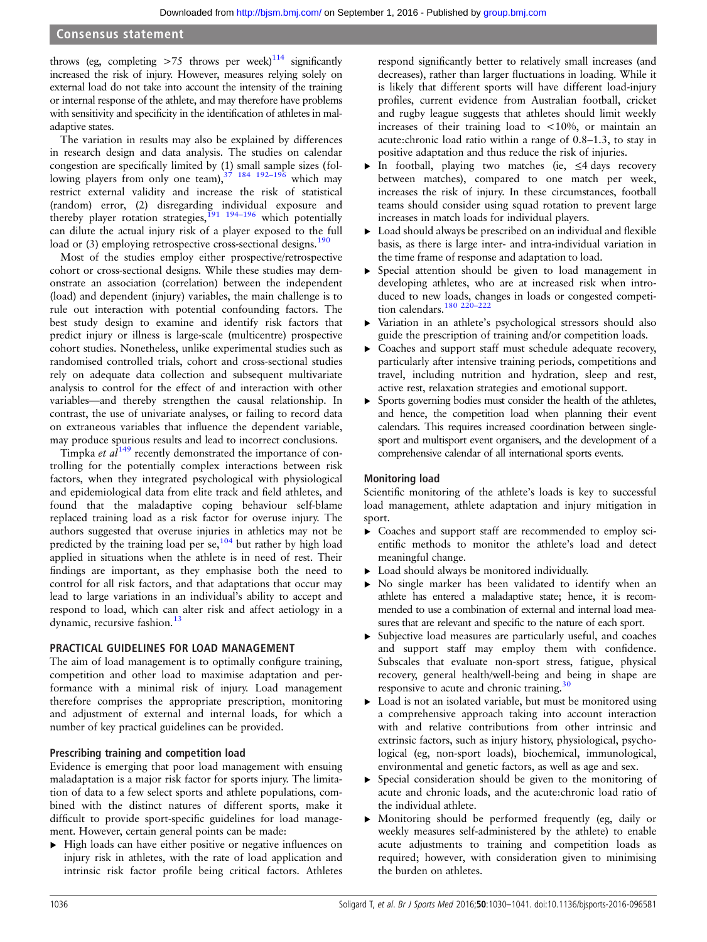throws (eg, completing  $>75$  throws per week)<sup>114</sup> significantly increased the risk of injury. However, measures relying solely on external load do not take into account the intensity of the training or internal response of the athlete, and may therefore have problems with sensitivity and specificity in the identification of athletes in maladaptive states.

The variation in results may also be explained by differences in research design and data analysis. The studies on calendar congestion are specifically limited by (1) small sample sizes (following players from only one team),  $37 \frac{184}{192-196}$  which may restrict external validity and increase the risk of statistical (random) error, (2) disregarding individual exposure and thereby player rotation strategies,<sup>[191 194](#page-11-0)–196</sup> which potentially can dilute the actual injury risk of a player exposed to the full load or (3) employing retrospective cross-sectional designs.<sup>190</sup>

Most of the studies employ either prospective/retrospective cohort or cross-sectional designs. While these studies may demonstrate an association (correlation) between the independent (load) and dependent (injury) variables, the main challenge is to rule out interaction with potential confounding factors. The best study design to examine and identify risk factors that predict injury or illness is large-scale (multicentre) prospective cohort studies. Nonetheless, unlike experimental studies such as randomised controlled trials, cohort and cross-sectional studies rely on adequate data collection and subsequent multivariate analysis to control for the effect of and interaction with other variables—and thereby strengthen the causal relationship. In contrast, the use of univariate analyses, or failing to record data on extraneous variables that influence the dependent variable, may produce spurious results and lead to incorrect conclusions.

Timpka et  $al^{149}$  $al^{149}$  $al^{149}$  recently demonstrated the importance of controlling for the potentially complex interactions between risk factors, when they integrated psychological with physiological and epidemiological data from elite track and field athletes, and found that the maladaptive coping behaviour self-blame replaced training load as a risk factor for overuse injury. The authors suggested that overuse injuries in athletics may not be predicted by the training load per  $se^{104}$  $se^{104}$  $se^{104}$  but rather by high load applied in situations when the athlete is in need of rest. Their findings are important, as they emphasise both the need to control for all risk factors, and that adaptations that occur may lead to large variations in an individual's ability to accept and respond to load, which can alter risk and affect aetiology in a dynamic, recursive fashion.<sup>[13](#page-8-0)</sup>

# PRACTICAL GUIDELINES FOR LOAD MANAGEMENT

The aim of load management is to optimally configure training, competition and other load to maximise adaptation and performance with a minimal risk of injury. Load management therefore comprises the appropriate prescription, monitoring and adjustment of external and internal loads, for which a number of key practical guidelines can be provided.

# Prescribing training and competition load

Evidence is emerging that poor load management with ensuing maladaptation is a major risk factor for sports injury. The limitation of data to a few select sports and athlete populations, combined with the distinct natures of different sports, make it difficult to provide sport-specific guidelines for load management. However, certain general points can be made:

▸ High loads can have either positive or negative influences on injury risk in athletes, with the rate of load application and intrinsic risk factor profile being critical factors. Athletes

respond significantly better to relatively small increases (and decreases), rather than larger fluctuations in loading. While it is likely that different sports will have different load-injury profiles, current evidence from Australian football, cricket and rugby league suggests that athletes should limit weekly increases of their training load to <10%, or maintain an acute:chronic load ratio within a range of 0.8–1.3, to stay in positive adaptation and thus reduce the risk of injuries.

- In football, playing two matches (ie,  $\leq 4$  days recovery between matches), compared to one match per week, increases the risk of injury. In these circumstances, football teams should consider using squad rotation to prevent large increases in match loads for individual players.
- ▸ Load should always be prescribed on an individual and flexible basis, as there is large inter- and intra-individual variation in the time frame of response and adaptation to load.
- ▸ Special attention should be given to load management in developing athletes, who are at increased risk when introduced to new loads, changes in loads or congested competition calendars[.180 220](#page-11-0)–<sup>222</sup>
- Variation in an athlete's psychological stressors should also guide the prescription of training and/or competition loads.
- ▸ Coaches and support staff must schedule adequate recovery, particularly after intensive training periods, competitions and travel, including nutrition and hydration, sleep and rest, active rest, relaxation strategies and emotional support.
- ▸ Sports governing bodies must consider the health of the athletes, and hence, the competition load when planning their event calendars. This requires increased coordination between singlesport and multisport event organisers, and the development of a comprehensive calendar of all international sports events.

# Monitoring load

Scientific monitoring of the athlete's loads is key to successful load management, athlete adaptation and injury mitigation in sport.

- ▶ Coaches and support staff are recommended to employ scientific methods to monitor the athlete's load and detect meaningful change.
- ▸ Load should always be monitored individually.
- ▸ No single marker has been validated to identify when an athlete has entered a maladaptive state; hence, it is recommended to use a combination of external and internal load measures that are relevant and specific to the nature of each sport.
- ▸ Subjective load measures are particularly useful, and coaches and support staff may employ them with confidence. Subscales that evaluate non-sport stress, fatigue, physical recovery, general health/well-being and being in shape are responsive to acute and chronic training.<sup>[30](#page-8-0)</sup>
- ▸ Load is not an isolated variable, but must be monitored using a comprehensive approach taking into account interaction with and relative contributions from other intrinsic and extrinsic factors, such as injury history, physiological, psychological (eg, non-sport loads), biochemical, immunological, environmental and genetic factors, as well as age and sex.
- ▸ Special consideration should be given to the monitoring of acute and chronic loads, and the acute:chronic load ratio of the individual athlete.
- ▸ Monitoring should be performed frequently (eg, daily or weekly measures self-administered by the athlete) to enable acute adjustments to training and competition loads as required; however, with consideration given to minimising the burden on athletes.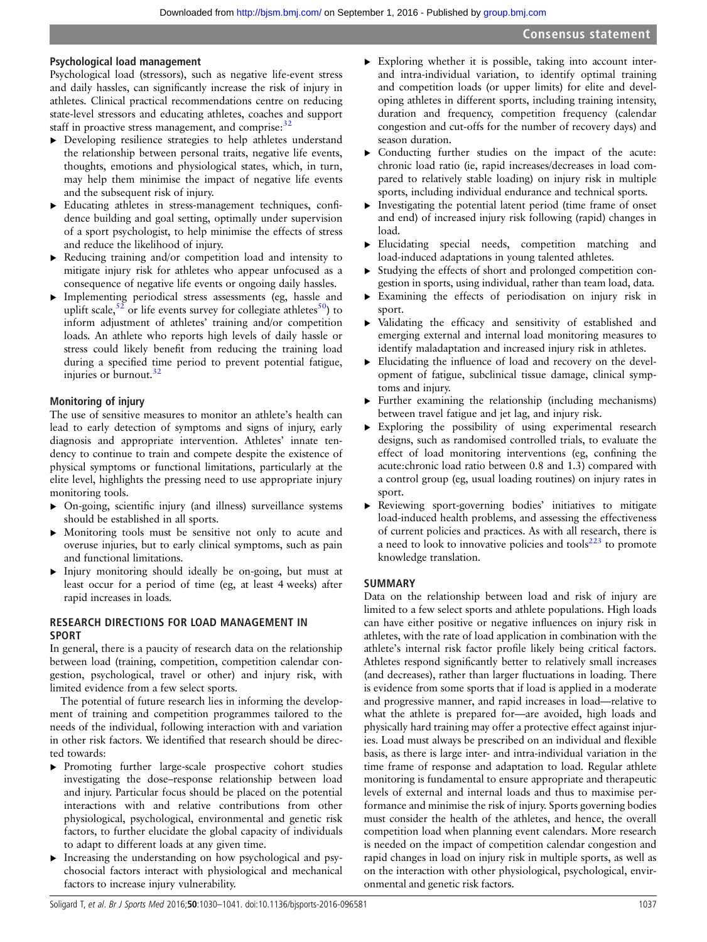# Psychological load management

Psychological load (stressors), such as negative life-event stress and daily hassles, can significantly increase the risk of injury in athletes. Clinical practical recommendations centre on reducing state-level stressors and educating athletes, coaches and support staff in proactive stress management, and comprise: $32$ 

- ▸ Developing resilience strategies to help athletes understand the relationship between personal traits, negative life events, thoughts, emotions and physiological states, which, in turn, may help them minimise the impact of negative life events and the subsequent risk of injury.
- ▸ Educating athletes in stress-management techniques, confidence building and goal setting, optimally under supervision of a sport psychologist, to help minimise the effects of stress and reduce the likelihood of injury.
- ▸ Reducing training and/or competition load and intensity to mitigate injury risk for athletes who appear unfocused as a consequence of negative life events or ongoing daily hassles.
- ▸ Implementing periodical stress assessments (eg, hassle and uplift scale,  $52$  or life events survey for collegiate athletes  $50$  to inform adjustment of athletes' training and/or competition loads. An athlete who reports high levels of daily hassle or stress could likely benefit from reducing the training load during a specified time period to prevent potential fatigue, injuries or burnout.<sup>[32](#page-8-0)</sup>

# Monitoring of injury

The use of sensitive measures to monitor an athlete's health can lead to early detection of symptoms and signs of injury, early diagnosis and appropriate intervention. Athletes' innate tendency to continue to train and compete despite the existence of physical symptoms or functional limitations, particularly at the elite level, highlights the pressing need to use appropriate injury monitoring tools.

- ▸ On-going, scientific injury (and illness) surveillance systems should be established in all sports.
- ▸ Monitoring tools must be sensitive not only to acute and overuse injuries, but to early clinical symptoms, such as pain and functional limitations.
- ▸ Injury monitoring should ideally be on-going, but must at least occur for a period of time (eg, at least 4 weeks) after rapid increases in loads.

# RESEARCH DIRECTIONS FOR LOAD MANAGEMENT IN SPORT

In general, there is a paucity of research data on the relationship between load (training, competition, competition calendar congestion, psychological, travel or other) and injury risk, with limited evidence from a few select sports.

The potential of future research lies in informing the development of training and competition programmes tailored to the needs of the individual, following interaction with and variation in other risk factors. We identified that research should be directed towards:

- ▸ Promoting further large-scale prospective cohort studies investigating the dose–response relationship between load and injury. Particular focus should be placed on the potential interactions with and relative contributions from other physiological, psychological, environmental and genetic risk factors, to further elucidate the global capacity of individuals to adapt to different loads at any given time.
- ▸ Increasing the understanding on how psychological and psychosocial factors interact with physiological and mechanical factors to increase injury vulnerability.
- ▸ Exploring whether it is possible, taking into account interand intra-individual variation, to identify optimal training and competition loads (or upper limits) for elite and developing athletes in different sports, including training intensity, duration and frequency, competition frequency (calendar congestion and cut-offs for the number of recovery days) and season duration.
- Conducting further studies on the impact of the acute: chronic load ratio (ie, rapid increases/decreases in load compared to relatively stable loading) on injury risk in multiple sports, including individual endurance and technical sports.
- ▸ Investigating the potential latent period (time frame of onset and end) of increased injury risk following (rapid) changes in load.
- ▸ Elucidating special needs, competition matching and load-induced adaptations in young talented athletes.
- ▸ Studying the effects of short and prolonged competition congestion in sports, using individual, rather than team load, data.
- ▸ Examining the effects of periodisation on injury risk in sport.
- ▸ Validating the efficacy and sensitivity of established and emerging external and internal load monitoring measures to identify maladaptation and increased injury risk in athletes.
- ▸ Elucidating the influence of load and recovery on the development of fatigue, subclinical tissue damage, clinical symptoms and injury.
- Further examining the relationship (including mechanisms) between travel fatigue and jet lag, and injury risk.
- ▸ Exploring the possibility of using experimental research designs, such as randomised controlled trials, to evaluate the effect of load monitoring interventions (eg, confining the acute:chronic load ratio between 0.8 and 1.3) compared with a control group (eg, usual loading routines) on injury rates in sport.
- ▸ Reviewing sport-governing bodies' initiatives to mitigate load-induced health problems, and assessing the effectiveness of current policies and practices. As with all research, there is a need to look to innovative policies and tool $s^{223}$  to promote knowledge translation.

# **SUMMARY**

Data on the relationship between load and risk of injury are limited to a few select sports and athlete populations. High loads can have either positive or negative influences on injury risk in athletes, with the rate of load application in combination with the athlete's internal risk factor profile likely being critical factors. Athletes respond significantly better to relatively small increases (and decreases), rather than larger fluctuations in loading. There is evidence from some sports that if load is applied in a moderate and progressive manner, and rapid increases in load—relative to what the athlete is prepared for—are avoided, high loads and physically hard training may offer a protective effect against injuries. Load must always be prescribed on an individual and flexible basis, as there is large inter- and intra-individual variation in the time frame of response and adaptation to load. Regular athlete monitoring is fundamental to ensure appropriate and therapeutic levels of external and internal loads and thus to maximise performance and minimise the risk of injury. Sports governing bodies must consider the health of the athletes, and hence, the overall competition load when planning event calendars. More research is needed on the impact of competition calendar congestion and rapid changes in load on injury risk in multiple sports, as well as on the interaction with other physiological, psychological, environmental and genetic risk factors.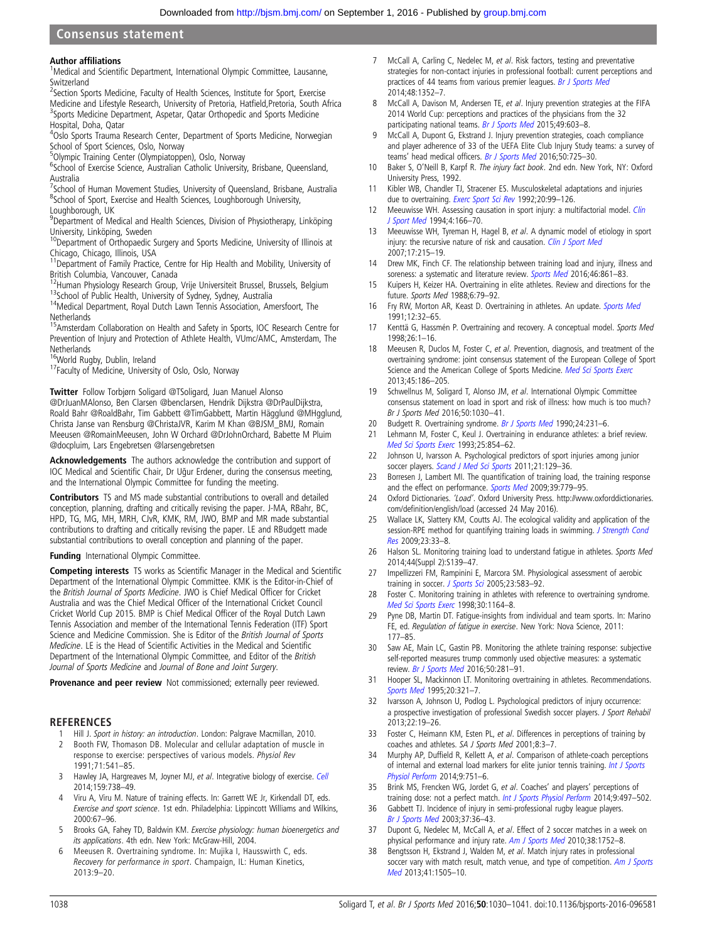#### <span id="page-8-0"></span>Author affiliations <sup>1</sup>

<sup>1</sup>Medical and Scientific Department, International Olympic Committee, Lausanne, Switzerland

<sup>2</sup>Section Sports Medicine, Faculty of Health Sciences, Institute for Sport, Exercise Medicine and Lifestyle Research, University of Pretoria, Hatfield,Pretoria, South Africa <sup>3</sup> <sup>3</sup>Sports Medicine Department, Aspetar, Qatar Orthopedic and Sports Medicine Hospital, Doha, Qatar

4 Oslo Sports Trauma Research Center, Department of Sports Medicine, Norwegian School of Sport Sciences, Oslo, Norway

<sup>5</sup>Olympic Training Center (Olympiatoppen), Oslo, Norway

<sup>6</sup>School of Exercise Science, Australian Catholic University, Brisbane, Queensland, Australia

<sup>7</sup>School of Human Movement Studies, University of Queensland, Brisbane, Australia <sup>8</sup>School of Sport, Exercise and Health Sciences, Loughborough University, Loughborough, UK

<sup>9</sup>Department of Medical and Health Sciences, Division of Physiotherapy, Linköping

University, Linköping, Sweden<br><sup>10</sup>Department of Orthopaedic Surgery and Sports Medicine, University of Illinois at Chicago, Chicago, Illinois, USA

<sup>11</sup>Department of Family Practice, Centre for Hip Health and Mobility, University of British Columbia, Vancouver, Canada<br><sup>12</sup>Human Physiology Research Group, Vrije Universiteit Brussel, Brussels, Belgium

<sup>13</sup>School of Public Health, University of Sydney, Sydney, Australia<br><sup>14</sup>Medical Department, Royal Dutch Lawn Tennis Association, Amersfoort, The **Netherlands** 

<sup>15</sup> Amsterdam Collaboration on Health and Safety in Sports, IOC Research Centre for Prevention of Injury and Protection of Athlete Health, VUmc/AMC, Amsterdam, The

Netherlands<br><sup>16</sup>World Rugby, Dublin, Ireland

<sup>17</sup>Faculty of Medicine, University of Oslo, Oslo, Norway

Twitter Follow Torbjørn Soligard [@TSoligard, Juan Manuel Alonso](http://twitter.com/TSoligard)

[@DrJuanMAlonso, Ben Clarsen @benclarsen, Hendrik Dijkstra @DrPaulDijkstra,](http://twitter.com/DrPaulDijkstra) [Roald Bahr @RoaldBahr, Tim Gabbett @TimGabbett, Martin Hägglund @MHgglund,](http://twitter.com/MHgglund) [Christa Janse van Rensburg @ChristaJVR, Karim M Khan @BJSM\\_BMJ, Romain](http://twitter.com/BJSM_BMJ) [Meeusen @RomainMeeusen, John W Orchard @DrJohnOrchard, Babette M Pluim](http://twitter.com/DrJohnOrchard) [@docpluim, Lars Engebretsen @larsengebretsen](http://twitter.com/larsengebretsen)

Acknowledgements The authors acknowledge the contribution and support of IOC Medical and Scientific Chair, Dr Uğur Erdener, during the consensus meeting, and the International Olympic Committee for funding the meeting.

Contributors TS and MS made substantial contributions to overall and detailed conception, planning, drafting and critically revising the paper. J-MA, RBahr, BC, HPD, TG, MG, MH, MRH, CJvR, KMK, RM, JWO, BMP and MR made substantial contributions to drafting and critically revising the paper. LE and RBudgett made substantial contributions to overall conception and planning of the paper.

Funding International Olympic Committee.

Competing interests TS works as Scientific Manager in the Medical and Scientific Department of the International Olympic Committee. KMK is the Editor-in-Chief of the British Journal of Sports Medicine. JWO is Chief Medical Officer for Cricket Australia and was the Chief Medical Officer of the International Cricket Council Cricket World Cup 2015. BMP is Chief Medical Officer of the Royal Dutch Lawn Tennis Association and member of the International Tennis Federation (ITF) Sport Science and Medicine Commission. She is Editor of the British Journal of Sports Medicine. LE is the Head of Scientific Activities in the Medical and Scientific Department of the International Olympic Committee, and Editor of the British Journal of Sports Medicine and Journal of Bone and Joint Surgery.

Provenance and peer review Not commissioned; externally peer reviewed.

#### **REFERENCES**

- 1 Hill J. Sport in history: an introduction. London: Palgrave Macmillan, 2010.
- 2 Booth FW, Thomason DB. Molecular and cellular adaptation of muscle in response to exercise: perspectives of various models. Physiol Rev 1991;71:541–85.
- 3 Hawley JA, Hargreaves M, Joyner MJ, et al. Integrative biology of exercise. [Cell](http://dx.doi.org/10.1016/j.cell.2014.10.029) 2014;159:738–49.
- 4 Viru A, Viru M. Nature of training effects. In: Garrett WE Jr, Kirkendall DT, eds. Exercise and sport science. 1st edn. Philadelphia: Lippincott Williams and Wilkins, 2000:67–96.
- 5 Brooks GA, Fahey TD, Baldwin KM. Exercise physiology: human bioenergetics and its applications. 4th edn. New York: McGraw-Hill, 2004.
- 6 Meeusen R. Overtraining syndrome. In: Mujika I, Hausswirth C, eds. Recovery for performance in sport. Champaign, IL: Human Kinetics, 2013:9–20.
- 7 McCall A, Carling C, Nedelec M, et al. Risk factors, testing and preventative strategies for non-contact injuries in professional football: current perceptions and practices of 44 teams from various premier leagues. [Br J Sports Med](http://dx.doi.org/10.1136/bjsports-2014-093439) 2014;48:1352–7.
- McCall A, Davison M, Andersen TE, et al. Injury prevention strategies at the FIFA 2014 World Cup: perceptions and practices of the physicians from the 32 participating national teams. [Br J Sports Med](http://dx.doi.org/10.1136/bjsports-2015-094747) 2015;49:603-8.
- 9 McCall A, Dupont G, Ekstrand J. Injury prevention strategies, coach compliance and player adherence of 33 of the UEFA Elite Club Injury Study teams: a survey of teams' head medical officers. [Br J Sports Med](http://dx.doi.org/10.1136/bjsports-2015-095259) 2016;50:725-30.
- 10 Baker S, O'Neill B, Karpf R. The injury fact book. 2nd edn. New York, NY: Oxford University Press, 1992.
- 11 Kibler WB, Chandler TJ, Stracener ES. Musculoskeletal adaptations and injuries due to overtraining. [Exerc Sport Sci Rev](http://dx.doi.org/10.1249/00003677-199200200-00004) 1992;20:99-126.
- 12 Meeuwisse WH. Assessing causation in sport injury: a multifactorial model. [Clin](http://dx.doi.org/10.1097/00042752-199407000-00004) [J Sport Med](http://dx.doi.org/10.1097/00042752-199407000-00004) 1994;4:166–70.
- 13 Meeuwisse WH, Tyreman H, Hagel B, et al. A dynamic model of etiology in sport injury: the recursive nature of risk and causation. [Clin J Sport Med](http://dx.doi.org/10.1097/JSM.0b013e3180592a48) 2007;17:215–19.
- 14 Drew MK, Finch CF. The relationship between training load and injury, illness and soreness: a systematic and literature review. [Sports Med](http://dx.doi.org/10.1007/s40279-015-0459-8) 2016;46:861-83.
- 15 Kuipers H, Keizer HA. Overtraining in elite athletes. Review and directions for the future. Sports Med 1988;6:79–92.
- 16 Fry RW, Morton AR, Keast D. Overtraining in athletes. An update. [Sports Med](http://dx.doi.org/10.2165/00007256-199112010-00004) 1991;12:32–65.
- 17 Kenttä G, Hassmén P. Overtraining and recovery. A conceptual model. Sports Med 1998;26:1–16.
- 18 Meeusen R, Duclos M, Foster C, et al. Prevention, diagnosis, and treatment of the overtraining syndrome: joint consensus statement of the European College of Sport Science and the American College of Sports Medicine. [Med Sci Sports Exerc](http://dx.doi.org/10.1249/MSS.0b013e318279a10a) 2013;45:186–205.
- 19 Schwellnus M, Soligard T, Alonso JM, et al. International Olympic Committee consensus statement on load in sport and risk of illness: how much is too much? Br J Sports Med 2016;50:1030–41.
- 20 Budgett R. Overtraining syndrome. [Br J Sports Med](http://dx.doi.org/10.1136/bjsm.24.4.231) 1990;24:231-6.
- 21 Lehmann M, Foster C, Keul J. Overtraining in endurance athletes: a brief review. [Med Sci Sports Exerc](http://dx.doi.org/10.1249/00005768-199307000-00015) 1993;25:854–62.
- 22 Johnson U, Ivarsson A. Psychological predictors of sport injuries among junior soccer players. [Scand J Med Sci Sports](http://dx.doi.org/10.1111/j.1600-0838.2009.01057.x) 2011;21:129-36.
- 23 Borresen J, Lambert MI. The quantification of training load, the training response and the effect on performance. [Sports Med](http://dx.doi.org/10.2165/11317780-000000000-00000) 2009;39:779-95.
- 24 Oxford Dictionaries. 'Load'. Oxford University Press. [http://www.oxforddictionaries.](http://www.oxforddictionaries.com/definition/english/load) com/defi[nition/english/load](http://www.oxforddictionaries.com/definition/english/load) (accessed 24 May 2016).
- 25 Wallace LK, Slattery KM, Coutts AJ. The ecological validity and application of the session-RPE method for quantifying training loads in swimming. [J Strength Cond](http://dx.doi.org/10.1519/JSC.0b013e3181874512) [Res](http://dx.doi.org/10.1519/JSC.0b013e3181874512) 2009;23:33–8.
- 26 Halson SL. Monitoring training load to understand fatigue in athletes. Sports Med 2014;44(Suppl 2):S139–47.
- 27 Impellizzeri FM, Rampinini E, Marcora SM. Physiological assessment of aerobic training in soccer. [J Sports Sci](http://dx.doi.org/10.1080/02640410400021278) 2005;23:583-92.
- 28 Foster C. Monitoring training in athletes with reference to overtraining syndrome. [Med Sci Sports Exerc](http://dx.doi.org/10.1097/00005768-199807000-00023) 1998;30:1164–8.
- 29 Pyne DB, Martin DT. Fatigue-insights from individual and team sports. In: Marino FE, ed. Regulation of fatigue in exercise. New York: Nova Science, 2011: 177–85.
- 30 Saw AE, Main LC, Gastin PB. Monitoring the athlete training response: subjective self-reported measures trump commonly used objective measures: a systematic review. [Br J Sports Med](http://dx.doi.org/10.1136/bjsports-2015-094758) 2016;50:281–91.
- 31 Hooper SL, Mackinnon LT. Monitoring overtraining in athletes. Recommendations. [Sports Med](http://dx.doi.org/10.2165/00007256-199520050-00003) 1995;20:321–7.
- 32 Ivarsson A, Johnson U, Podlog L. Psychological predictors of injury occurrence: a prospective investigation of professional Swedish soccer players. J Sport Rehabil 2013;22:19–26.
- 33 Foster C, Heimann KM, Esten PL, et al. Differences in perceptions of training by coaches and athletes. SA J Sports Med 2001;8:3–7.
- 34 Murphy AP, Duffield R, Kellett A, et al. Comparison of athlete-coach perceptions of internal and external load markers for elite junior tennis training. [Int J Sports](http://dx.doi.org/10.1123/ijspp2013-0364) [Physiol Perform](http://dx.doi.org/10.1123/ijspp2013-0364) 2014;9:751–6.
- 35 Brink MS, Frencken WG, Jordet G, et al. Coaches' and players' perceptions of training dose: not a perfect match. *[Int J Sports Physiol Perform](http://dx.doi.org/10.1123/ijspp.2013-0009)* 2014;9:497-502.
- 36 Gabbett TJ. Incidence of injury in semi-professional rugby league players. [Br J Sports Med](http://dx.doi.org/10.1136/bjsm.37.1.36) 2003;37:36–43.
- 37 Dupont G, Nedelec M, McCall A, et al. Effect of 2 soccer matches in a week on physical performance and injury rate. [Am J Sports Med](http://dx.doi.org/10.1177/0363546510361236) 2010;38:1752-8.
- Bengtsson H, Ekstrand J, Walden M, et al. Match injury rates in professional soccer vary with match result, match venue, and type of competition. [Am J Sports](http://dx.doi.org/10.1177/0363546513486769) [Med](http://dx.doi.org/10.1177/0363546513486769) 2013;41:1505–10.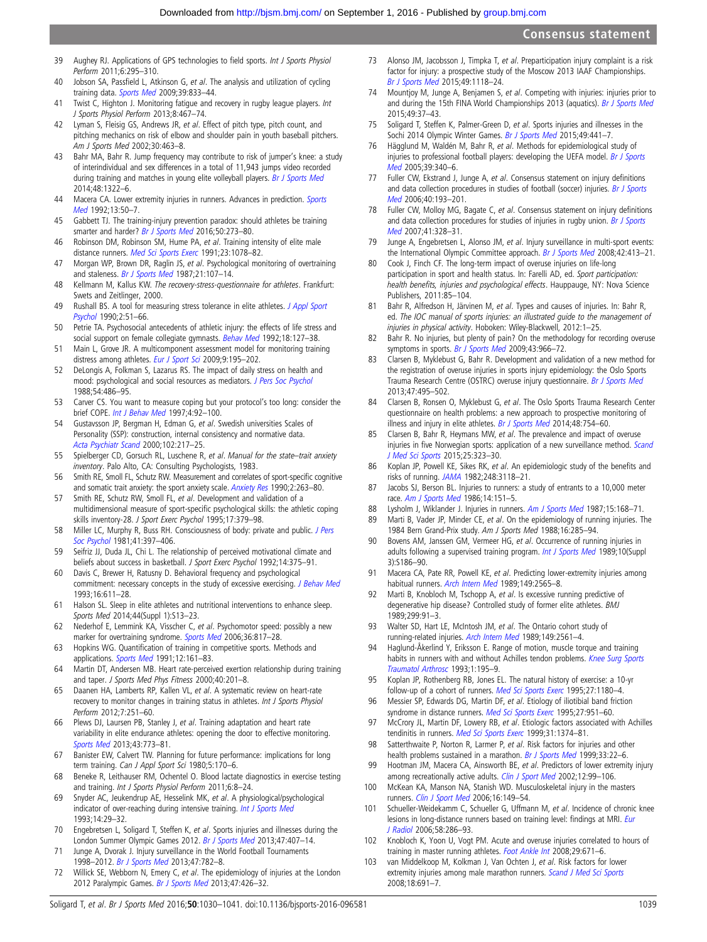- <span id="page-9-0"></span>39 Aughey RJ. Applications of GPS technologies to field sports. Int J Sports Physiol Perform 2011;6:295–310.
- 40 Jobson SA, Passfield L, Atkinson G, et al. The analysis and utilization of cycling training data. [Sports Med](http://dx.doi.org/10.2165/11317840-000000000-00000) 2009;39:833-44.
- 41 Twist C, Highton J. Monitoring fatigue and recovery in rugby league players. Int J Sports Physiol Perform 2013;8:467–74.
- 42 Lyman S, Fleisig GS, Andrews JR, et al. Effect of pitch type, pitch count, and pitching mechanics on risk of elbow and shoulder pain in youth baseball pitchers. Am J Sports Med 2002;30:463–8.
- 43 Bahr MA, Bahr R. Jump frequency may contribute to risk of jumper's knee: a study of interindividual and sex differences in a total of 11,943 jumps video recorded during training and matches in young elite volleyball players. [Br J Sports Med](http://dx.doi.org/10.1136/bjsports-2014-093593) 2014;48:1322–6.
- 44 Macera CA. Lower extremity injuries in runners. Advances in prediction. [Sports](http://dx.doi.org/10.2165/00007256-199213010-00005) [Med](http://dx.doi.org/10.2165/00007256-199213010-00005) 1992;13:50–7.
- 45 Gabbett TJ. The training-injury prevention paradox: should athletes be training smarter and harder? [Br J Sports Med](http://dx.doi.org/10.1136/bjsports-2015-095788) 2016;50:273-80.
- 46 Robinson DM, Robinson SM, Hume PA, et al. Training intensity of elite male distance runners. [Med Sci Sports Exerc](http://dx.doi.org/10.1249/00005768-199109000-00013) 1991;23:1078-82.
- 47 Morgan WP, Brown DR, Raglin JS, et al. Psychological monitoring of overtraining and staleness. [Br J Sports Med](http://dx.doi.org/10.1136/bjsm.21.3.107) 1987;21:107-14.
- 48 Kellmann M, Kallus KW. The recovery-stress-questionnaire for athletes. Frankfurt: Swets and Zeitlinger, 2000.
- 49 Rushall BS. A tool for measuring stress tolerance in elite athletes. [J Appl Sport](http://dx.doi.org/10.1080/10413209008406420) [Psychol](http://dx.doi.org/10.1080/10413209008406420) 1990;2:51–66.
- 50 Petrie TA. Psychosocial antecedents of athletic injury: the effects of life stress and social support on female collegiate gymnasts. [Behav Med](http://dx.doi.org/10.1080/08964289.1992.9936963) 1992;18:127-38.
- 51 Main L, Grove JR. A multicomponent assessment model for monitoring training distress among athletes. [Eur J Sport Sci](http://dx.doi.org/10.1080/17461390902818260) 2009;9:195-202.
- 52 DeLongis A, Folkman S, Lazarus RS. The impact of daily stress on health and mood: psychological and social resources as mediators. [J Pers Soc Psychol](http://dx.doi.org/10.1037/0022-3514.54.3.486) 1988;54:486–95.
- 53 Carver CS. You want to measure coping but your protocol's too long: consider the brief COPE. [Int J Behav Med](http://dx.doi.org/10.1207/s15327558ijbm0401_6) 1997;4:92-100.
- 54 Gustavsson JP, Bergman H, Edman G, et al. Swedish universities Scales of Personality (SSP): construction, internal consistency and normative data. [Acta Psychiatr Scand](http://dx.doi.org/10.1034/j.1600-0447.2000.102003217.x) 2000;102:217–25.
- 55 Spielberger CD, Gorsuch RL, Luschene R, et al. Manual for the state-trait anxiety inventory. Palo Alto, CA: Consulting Psychologists, 1983.
- 56 Smith RE, Smoll FL, Schutz RW. Measurement and correlates of sport-specific cognitive and somatic trait anxiety: the sport anxiety scale. [Anxiety Res](http://dx.doi.org/10.1080/08917779008248733) 1990;2:263-80.
- 57 Smith RE, Schutz RW, Smoll FL, et al. Development and validation of a multidimensional measure of sport-specific psychological skills: the athletic coping skills inventory-28. J Sport Exerc Psychol 1995;17:379–98.
- 58 Miller LC, Murphy R, Buss RH. Consciousness of body: private and public. [J Pers](http://dx.doi.org/10.1037/0022-3514.41.2.397) [Soc Psychol](http://dx.doi.org/10.1037/0022-3514.41.2.397) 1981;41:397–406.
- 59 Seifriz JJ, Duda JL, Chi L. The relationship of perceived motivational climate and beliefs about success in basketball. J Sport Exerc Psychol 1992;14:375-91.
- 60 Davis C, Brewer H, Ratusny D. Behavioral frequency and psychological commitment: necessary concepts in the study of excessive exercising. [J Behav Med](http://dx.doi.org/10.1007/BF00844722) 1993;16:611–28.
- 61 Halson SL. Sleep in elite athletes and nutritional interventions to enhance sleep. Sports Med 2014;44(Suppl 1):S13–23.
- 62 Nederhof E, Lemmink KA, Visscher C, et al. Psychomotor speed: possibly a new marker for overtraining syndrome. [Sports Med](http://dx.doi.org/10.2165/00007256-200636100-00001) 2006;36:817-28.
- 63 Hopkins WG. Quantification of training in competitive sports. Methods and applications. [Sports Med](http://dx.doi.org/10.2165/00007256-199112030-00003) 1991;12:161-83.
- 64 Martin DT, Andersen MB. Heart rate-perceived exertion relationship during training and taper. J Sports Med Phys Fitness 2000;40:201–8.
- 65 Daanen HA, Lamberts RP, Kallen VL, et al. A systematic review on heart-rate recovery to monitor changes in training status in athletes. Int J Sports Physiol Perform 2012;7:251–60.
- 66 Plews DJ, Laursen PB, Stanley J, et al. Training adaptation and heart rate variability in elite endurance athletes: opening the door to effective monitoring. [Sports Med](http://dx.doi.org/10.1007/s40279-013-0071-8) 2013;43:773–81.
- 67 Banister EW, Calvert TW. Planning for future performance: implications for long term training. Can J Appl Sport Sci 1980;5:170-6.
- 68 Beneke R, Leithauser RM, Ochentel O. Blood lactate diagnostics in exercise testing and training. Int J Sports Physiol Perform 2011;6:8–24.
- 69 Snyder AC, Jeukendrup AE, Hesselink MK, et al. A physiological/psychological indicator of over-reaching during intensive training. [Int J Sports Med](http://dx.doi.org/10.1055/s-2007-1021141) 1993;14:29–32.
- 70 Engebretsen L, Soligard T, Steffen K, et al. Sports injuries and illnesses during the London Summer Olympic Games 2012. [Br J Sports Med](http://dx.doi.org/10.1136/bjsports-2013-092380) 2013;47:407–14.
- 71 Junge A, Dvorak J. Injury surveillance in the World Football Tournaments 1998-2012. [Br J Sports Med](http://dx.doi.org/10.1136/bjsports-2013-092205) 2013;47:782-8.
- 72 Willick SE, Webborn N, Emery C, et al. The epidemiology of injuries at the London 2012 Paralympic Games. [Br J Sports Med](http://dx.doi.org/10.1136/bjsports-2013-092374) 2013;47:426-32.
- 73 Alonso JM, Jacobsson J, Timpka T, et al. Preparticipation injury complaint is a risk factor for injury: a prospective study of the Moscow 2013 IAAF Championships. [Br J Sports Med](http://dx.doi.org/10.1136/bjsports-2014-094359) 2015;49:1118–24.
- 74 Mountjoy M, Junge A, Benjamen S, et al. Competing with injuries: injuries prior to and during the 15th FINA World Championships 2013 (aquatics). [Br J Sports Med](http://dx.doi.org/10.1136/bjsports-2014-093991) 2015;49:37–43.
- 75 Soligard T, Steffen K, Palmer-Green D, et al. Sports injuries and illnesses in the Sochi 2014 Olympic Winter Games. [Br J Sports Med](http://dx.doi.org/10.1136/bjsports-2014-094538) 2015;49:441-7.
- 76 Hägglund M, Waldén M, Bahr R, et al. Methods for epidemiological study of injuries to professional football players: developing the UEFA model. [Br J Sports](http://dx.doi.org/10.1136/bjsm.2005.018267) [Med](http://dx.doi.org/10.1136/bjsm.2005.018267) 2005;39:340–6.
- 77 Fuller CW, Ekstrand J, Junge A, et al. Consensus statement on injury definitions and data collection procedures in studies of football (soccer) injuries. [Br J Sports](http://dx.doi.org/10.1136/bjsm.2005.025270) [Med](http://dx.doi.org/10.1136/bjsm.2005.025270) 2006;40:193–201.
- 78 Fuller CW, Molloy MG, Bagate C, et al. Consensus statement on injury definitions and data collection procedures for studies of injuries in rugby union. [Br J Sports](http://dx.doi.org/10.1136/bjsm.2006.033282) [Med](http://dx.doi.org/10.1136/bjsm.2006.033282) 2007;41:328–31.
- 79 Junge A, Engebretsen L, Alonso JM, et al. Injury surveillance in multi-sport events: the International Olympic Committee approach. [Br J Sports Med](http://dx.doi.org/10.1136/bjsm.2008.046631) 2008;42:413-21.
- Cook J, Finch CF. The long-term impact of overuse injuries on life-long participation in sport and health status. In: Farelli AD, ed. Sport participation: health benefits, injuries and psychological effects. Hauppauge, NY: Nova Science Publishers, 2011:85–104.
- 81 Bahr R, Alfredson H, Järvinen M, et al. Types and causes of injuries. In: Bahr R, ed. The IOC manual of sports injuries: an illustrated guide to the management of injuries in physical activity. Hoboken: Wiley-Blackwell, 2012:1–25.
- 82 Bahr R. No injuries, but plenty of pain? On the methodology for recording overuse symptoms in sports. [Br J Sports Med](http://dx.doi.org/10.1136/bjsm.2009.066936) 2009;43:966-72.
- 83 Clarsen B, Myklebust G, Bahr R. Development and validation of a new method for the registration of overuse injuries in sports injury epidemiology: the Oslo Sports Trauma Research Centre (OSTRC) overuse injury questionnaire. [Br J Sports Med](http://dx.doi.org/10.1136/bjsports-2012-091524) 2013;47:495–502.
- 84 Clarsen B, Ronsen O, Myklebust G, et al. The Oslo Sports Trauma Research Center questionnaire on health problems: a new approach to prospective monitoring of illness and injury in elite athletes. [Br J Sports Med](http://dx.doi.org/10.1136/bjsports-2012-092087) 2014;48:754-60.
- 85 Clarsen B, Bahr R, Heymans MW, et al. The prevalence and impact of overuse injuries in five Norwegian sports: application of a new surveillance method. [Scand](http://dx.doi.org/10.1111/sms.12223) [J Med Sci Sports](http://dx.doi.org/10.1111/sms.12223) 2015;25:323–30.
- 86 Koplan JP, Powell KE, Sikes RK, et al. An epidemiologic study of the benefits and risks of running. [JAMA](http://dx.doi.org/10.1001/jama.1982.03330230030026) 1982;248:3118–21.
- 87 Jacobs SJ, Berson BL. Injuries to runners: a study of entrants to a 10,000 meter race. [Am J Sports Med](http://dx.doi.org/10.1177/036354658601400211) 1986;14:151–5.
- 88 Lysholm J, Wiklander J. Injuries in runners. [Am J Sports Med](http://dx.doi.org/10.1177/036354658701500213) 1987;15:168-71.
- 89 Marti B, Vader JP, Minder CE, et al. On the epidemiology of running injuries. The 1984 Bern Grand-Prix study. Am J Sports Med 1988;16:285–94.
- 90 Bovens AM, Janssen GM, Vermeer HG, et al. Occurrence of running injuries in adults following a supervised training program. [Int J Sports Med](http://dx.doi.org/10.1055/s-2007-1024970) 1989;10(Suppl 3):S186–90.
- 91 Macera CA, Pate RR, Powell KE, et al. Predicting lower-extremity injuries among habitual runners. [Arch Intern Med](http://dx.doi.org/10.1001/archinte.1989.00390110117026) 1989;149:2565-8.
- 92 Marti B, Knobloch M, Tschopp A, et al. Is excessive running predictive of degenerative hip disease? Controlled study of former elite athletes. BMJ 1989;299:91–3.
- 93 Walter SD, Hart LE, McIntosh JM, et al. The Ontario cohort study of running-related injuries. [Arch Intern Med](http://dx.doi.org/10.1001/archinte.1989.00390110113025) 1989;149:2561–4.
- 94 Haglund-Åkerlind Y, Eriksson E. Range of motion, muscle torque and training habits in runners with and without Achilles tendon problems. [Knee Surg Sports](http://dx.doi.org/10.1007/BF01560205) [Traumatol Arthrosc](http://dx.doi.org/10.1007/BF01560205) 1993;1:195–9.
- 95 Koplan JP, Rothenberg RB, Jones EL. The natural history of exercise: a 10-yr follow-up of a cohort of runners. [Med Sci Sports Exerc](http://dx.doi.org/10.1249/00005768-199508000-00012) 1995;27:1180-4.
- 96 Messier SP, Edwards DG, Martin DF, et al. Etiology of iliotibial band friction syndrome in distance runners. [Med Sci Sports Exerc](http://dx.doi.org/10.1249/00005768-199507000-00002) 1995;27:951-60.
- 97 McCrory JL, Martin DF, Lowery RB, et al. Etiologic factors associated with Achilles tendinitis in runners. [Med Sci Sports Exerc](http://dx.doi.org/10.1097/00005768-199910000-00003) 1999;31:1374-81.
- 98 Satterthwaite P, Norton R, Larmer P, et al. Risk factors for injuries and other health problems sustained in a marathon. [Br J Sports Med](http://dx.doi.org/10.1136/bjsm.33.1.22) 1999;33:22-6.
- 99 Hootman JM, Macera CA, Ainsworth BE, et al. Predictors of lower extremity injury among recreationally active adults. [Clin J Sport Med](http://dx.doi.org/10.1097/00042752-200203000-00006) 2002;12:99-106.
- 100 McKean KA, Manson NA, Stanish WD. Musculoskeletal injury in the masters runners. [Clin J Sport Med](http://dx.doi.org/10.1097/00042752-200603000-00011) 2006;16:149-54.
- 101 Schueller-Weidekamm C, Schueller G, Uffmann M, et al. Incidence of chronic knee lesions in long-distance runners based on training level: findings at MRI. [Eur](http://dx.doi.org/10.1016/j.ejrad.2005.11.010) [J Radiol](http://dx.doi.org/10.1016/j.ejrad.2005.11.010) 2006;58:286–93.
- 102 Knobloch K, Yoon U, Vogt PM. Acute and overuse injuries correlated to hours of training in master running athletes. [Foot Ankle Int](http://dx.doi.org/10.3113/FAI.2008.0671) 2008;29:671-6.
- 103 van Middelkoop M, Kolkman J, Van Ochten J, et al. Risk factors for lower extremity injuries among male marathon runners. [Scand J Med Sci Sports](http://dx.doi.org/10.1111/j.1600-0838.2007.00768.x) 2008;18:691–7.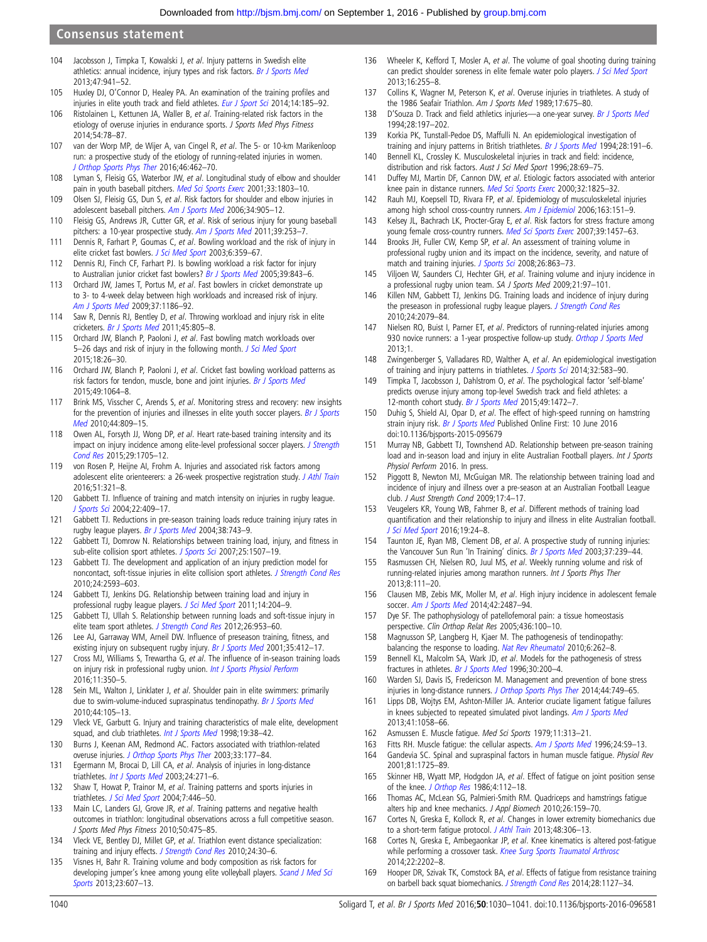- <span id="page-10-0"></span>104 Jacobsson J, Timpka T, Kowalski J, et al. Injury patterns in Swedish elite athletics: annual incidence, injury types and risk factors. [Br J Sports Med](http://dx.doi.org/10.1136/bjsports-2012-091651) 2013;47:941–52.
- 105 Huxley DJ, O'Connor D, Healey PA. An examination of the training profiles and injuries in elite youth track and field athletes. [Eur J Sport Sci](http://dx.doi.org/10.1080/17461391.2013.809153) 2014;14:185-92.
- 106 Ristolainen L, Kettunen JA, Waller B, et al. Training-related risk factors in the etiology of overuse injuries in endurance sports. J Sports Med Phys Fitness 2014;54:78–87.
- 107 van der Worp MP, de Wijer A, van Cingel R, et al. The 5- or 10-km Marikenloop run: a prospective study of the etiology of running-related injuries in women. [J Orthop Sports Phys Ther](http://dx.doi.org/10.2519/jospt.2016.6402) 2016;46:462–70.
- 108 Lyman S, Fleisig GS, Waterbor JW, et al. Longitudinal study of elbow and shoulder pain in youth baseball pitchers. [Med Sci Sports Exerc](http://dx.doi.org/10.1097/00005768-200111000-00002) 2001;33:1803-10.
- 109 Olsen SJ, Fleisig GS, Dun S, et al. Risk factors for shoulder and elbow injuries in adolescent baseball pitchers. [Am J Sports Med](http://dx.doi.org/10.1177/0363546505284188) 2006;34:905-12.
- 110 Fleisig GS, Andrews JR, Cutter GR, et al. Risk of serious injury for young baseball pitchers: a 10-year prospective study. [Am J Sports Med](http://dx.doi.org/10.1177/0363546510384224) 2011;39:253-7.
- 111 Dennis R, Farhart P, Goumas C, et al. Bowling workload and the risk of injury in elite cricket fast bowlers. [J Sci Med Sport](http://dx.doi.org/10.1016/S1440-2440(03)80031-2) 2003;6:359-67.
- 112 Dennis RJ, Finch CF, Farhart PJ. Is bowling workload a risk factor for injury to Australian junior cricket fast bowlers? [Br J Sports Med](http://dx.doi.org/10.1136/bjsm.2005.018515) 2005;39:843-6.
- 113 Orchard JW, James T, Portus M, et al. Fast bowlers in cricket demonstrate up to 3- to 4-week delay between high workloads and increased risk of injury. [Am J Sports Med](http://dx.doi.org/10.1177/0363546509332430) 2009;37:1186–92.
- 114 Saw R, Dennis RJ, Bentley D, et al. Throwing workload and injury risk in elite cricketers. [Br J Sports Med](http://dx.doi.org/10.1136/bjsm.2009.061309) 2011;45:805-8.
- 115 Orchard JW, Blanch P, Paoloni J, et al. Fast bowling match workloads over 5-26 days and risk of injury in the following month. [J Sci Med Sport](http://dx.doi.org/10.1016/j.jsams.2014.09.002) 2015;18:26–30.
- 116 Orchard JW, Blanch P, Paoloni J, et al. Cricket fast bowling workload patterns as risk factors for tendon, muscle, bone and joint injuries. [Br J Sports Med](http://dx.doi.org/10.1136/bjsports-2014-093683) 2015;49:1064–8.
- 117 Brink MS, Visscher C, Arends S, et al. Monitoring stress and recovery: new insights for the prevention of injuries and illnesses in elite youth soccer players. [Br J Sports](http://dx.doi.org/10.1136/bjsm.2009.069476) [Med](http://dx.doi.org/10.1136/bjsm.2009.069476) 2010;44:809–15.
- 118 Owen AL, Forsyth JJ, Wong DP, et al. Heart rate-based training intensity and its impact on injury incidence among elite-level professional soccer players. [J Strength](http://dx.doi.org/10.1519/JSC.0000000000000810) [Cond Res](http://dx.doi.org/10.1519/JSC.0000000000000810) 2015;29:1705–12.
- 119 von Rosen P, Heijne AI, Frohm A. Injuries and associated risk factors among adolescent elite orienteerers: a 26-week prospective registration study. [J Athl Train](http://dx.doi.org/10.4085/1062-6050-51.5.01) 2016;51:321–8.
- 120 Gabbett TJ. Influence of training and match intensity on injuries in rugby league. [J Sports Sci](http://dx.doi.org/10.1080/02640410310001641638) 2004;22:409–17.
- 121 Gabbett TJ. Reductions in pre-season training loads reduce training injury rates in rugby league players. [Br J Sports Med](http://dx.doi.org/10.1136/bjsm.2003.008391) 2004;38:743–9.
- 122 Gabbett TJ, Domrow N. Relationships between training load, injury, and fitness in sub-elite collision sport athletes. [J Sports Sci](http://dx.doi.org/10.1080/02640410701215066) 2007;25:1507-19.
- 123 Gabbett TJ. The development and application of an injury prediction model for noncontact, soft-tissue injuries in elite collision sport athletes. [J Strength Cond Res](http://dx.doi.org/10.1519/JSC.0b013e3181f19da4) 2010;24:2593–603.
- 124 Gabbett TJ, Jenkins DG. Relationship between training load and injury in professional rugby league players. [J Sci Med Sport](http://dx.doi.org/10.1016/j.jsams.2010.12.002) 2011;14:204-9.
- 125 Gabbett TJ, Ullah S. Relationship between running loads and soft-tissue injury in elite team sport athletes. [J Strength Cond Res](http://dx.doi.org/10.1519/JSC.0b013e3182302023) 2012;26:953-60.
- 126 Lee AJ, Garraway WM, Arneil DW. Influence of preseason training, fitness, and existing injury on subsequent rugby injury. [Br J Sports Med](http://dx.doi.org/10.1136/bjsm.35.6.412) 2001;35:412-17.
- 127 Cross MJ, Williams S, Trewartha G, et al. The influence of in-season training loads on injury risk in professional rugby union. [Int J Sports Physiol Perform](http://dx.doi.org/10.1123/ijspp.2015-0187) 2016;11:350–5.
- 128 Sein ML, Walton J, Linklater J, et al. Shoulder pain in elite swimmers: primarily due to swim-volume-induced supraspinatus tendinopathy. [Br J Sports Med](http://dx.doi.org/10.1136/bjsm.2008.047282) 2010;44:105–13.
- 129 Vleck VE, Garbutt G. Injury and training characteristics of male elite, development squad, and club triathletes. [Int J Sports Med](http://dx.doi.org/10.1055/s-2007-971877) 1998;19:38-42.
- 130 Burns J, Keenan AM, Redmond AC. Factors associated with triathlon-related overuse injuries. [J Orthop Sports Phys Ther](http://dx.doi.org/10.2519/jospt.2003.33.4.177) 2003;33:177–84.
- 131 Egermann M, Brocai D, Lill CA, et al. Analysis of injuries in long-distance triathletes. [Int J Sports Med](http://dx.doi.org/10.1055/s-2003-39498) 2003;24:271-6.
- 132 Shaw T, Howat P, Trainor M, et al. Training patterns and sports injuries in triathletes. [J Sci Med Sport](http://dx.doi.org/10.1016/S1440-2440(04)80262-7) 2004;7:446-50.
- 133 Main LC, Landers GJ, Grove JR, et al. Training patterns and negative health outcomes in triathlon: longitudinal observations across a full competitive season. J Sports Med Phys Fitness 2010;50:475–85.
- 134 Vleck VE, Bentley DJ, Millet GP, et al. Triathlon event distance specialization: training and injury effects. [J Strength Cond Res](http://dx.doi.org/10.1519/JSC.0b013e3181bd4cc8) 2010;24:30-6.
- 135 Visnes H, Bahr R. Training volume and body composition as risk factors for developing jumper's knee among young elite volleyball players. [Scand J Med Sci](http://dx.doi.org/10.1111/j.1600-0838.2011.01430.x) [Sports](http://dx.doi.org/10.1111/j.1600-0838.2011.01430.x) 2013;23:607–13.
- 136 Wheeler K, Kefford T, Mosler A, et al. The volume of goal shooting during training can predict shoulder soreness in elite female water polo players. [J Sci Med Sport](http://dx.doi.org/10.1016/j.jsams.2012.06.006) 2013;16:255–8.
- 137 Collins K, Wagner M, Peterson K, et al. Overuse injuries in triathletes. A study of the 1986 Seafair Triathlon. Am J Sports Med 1989;17:675–80.
- 138 D'Souza D. Track and field athletics injuries—a one-year survey. [Br J Sports Med](http://dx.doi.org/10.1136/bjsm.28.3.197) 1994;28:197–202.
- 139 Korkia PK, Tunstall-Pedoe DS, Maffulli N. An epidemiological investigation of training and injury patterns in British triathletes. [Br J Sports Med](http://dx.doi.org/10.1136/bjsm.28.3.191) 1994;28:191-6.
- 140 Bennell KL, Crossley K. Musculoskeletal injuries in track and field: incidence, distribution and risk factors. Aust J Sci Med Sport 1996;28:69-75.
- 141 Duffey MJ, Martin DF, Cannon DW, et al. Etiologic factors associated with anterior knee pain in distance runners. [Med Sci Sports Exerc](http://dx.doi.org/10.1097/00005768-200011000-00003) 2000;32:1825-32.
- 142 Rauh MJ, Koepsell TD, Rivara FP, et al. Epidemiology of musculoskeletal injuries among high school cross-country runners. Am [J Epidemiol](http://dx.doi.org/10.1093/aje/kwj022) 2006;163:151-9.
- 143 Kelsey JL, Bachrach LK, Procter-Gray E, et al. Risk factors for stress fracture among young female cross-country runners. [Med Sci Sports Exerc](http://dx.doi.org/10.1249/mss.0b013e318074e54b) 2007;39:1457-63.
- 144 Brooks JH, Fuller CW, Kemp SP, et al. An assessment of training volume in professional rugby union and its impact on the incidence, severity, and nature of match and training injuries. [J Sports Sci](http://dx.doi.org/10.1080/02640410701832209) 2008;26:863-73.
- 145 Viljoen W, Saunders CJ, Hechter GH, et al. Training volume and injury incidence in a professional rugby union team. SA J Sports Med 2009;21:97–101.
- 146 Killen NM, Gabbett TJ, Jenkins DG. Training loads and incidence of injury during the preseason in professional rugby league players. [J Strength Cond Res](http://dx.doi.org/10.1519/JSC.0b013e3181ddafff) 2010;24:2079–84.
- 147 Nielsen RO, Buist I, Parner ET, et al. Predictors of running-related injuries among 930 novice runners: a 1-year prospective follow-up study. [Orthop J Sports Med](http://dx.doi.org/10.1177/2325967113487316) 2013;1.
- 148 Zwingenberger S, Valladares RD, Walther A, et al. An epidemiological investigation of training and injury patterns in triathletes. [J Sports Sci](http://dx.doi.org/10.1080/02640414.2013.843018) 2014;32:583-90.
- 149 Timpka T, Jacobsson J, Dahlstrom O, et al. The psychological factor 'self-blame' predicts overuse injury among top-level Swedish track and field athletes: a 12-month cohort study. [Br J Sports Med](http://dx.doi.org/10.1136/bjsports-2015-094622) 2015;49:1472-7.
- 150 Duhig S, Shield AJ, Opar D, et al. The effect of high-speed running on hamstring strain injury risk. [Br J Sports Med](http://dx.doi.org/10.1136/bjsports-2015-095679) Published Online First: 10 June 2016 doi:10.1136/bjsports-2015-095679
- 151 Murray NB, Gabbett TJ, Townshend AD. Relationship between pre-season training load and in-season load and injury in elite Australian Football players. Int J Sports Physiol Perform 2016. In press.
- 152 Piggott B, Newton MJ, McGuigan MR. The relationship between training load and incidence of injury and illness over a pre-season at an Australian Football League club. J Aust Strength Cond 2009;17:4–17.
- 153 Veugelers KR, Young WB, Fahrner B, et al. Different methods of training load quantification and their relationship to injury and illness in elite Australian football. [J Sci Med Sport](http://dx.doi.org/10.1016/j.jsams.2015.01.001) 2016;19:24–8.
- 154 Taunton JE, Ryan MB, Clement DB, et al. A prospective study of running injuries: the Vancouver Sun Run 'In Training' clinics. [Br J Sports Med](http://dx.doi.org/10.1136/bjsm.37.3.239) 2003;37:239-44.
- 155 Rasmussen CH, Nielsen RO, Juul MS, et al. Weekly running volume and risk of running-related injuries among marathon runners. Int J Sports Phys Ther 2013;8:111–20.
- 156 Clausen MB, Zebis MK, Moller M, et al. High injury incidence in adolescent female soccer. [Am J Sports Med](http://dx.doi.org/10.1177/0363546514541224) 2014;42:2487-94.
- 157 Dye SF. The pathophysiology of patellofemoral pain: a tissue homeostasis perspective. Clin Orthop Relat Res 2005;436:100–10.
- 158 Magnusson SP, Langberg H, Kjaer M. The pathogenesis of tendinopathy: balancing the response to loading. [Nat Rev Rheumatol](http://dx.doi.org/10.1038/nrrheum.2010.43) 2010;6:262-8.
- 159 Bennell KL, Malcolm SA, Wark JD, et al. Models for the pathogenesis of stress fractures in athletes. [Br J Sports Med](http://dx.doi.org/10.1136/bjsm.30.3.200) 1996;30:200-4.
- 160 Warden SJ, Davis IS, Fredericson M. Management and prevention of bone stress injuries in long-distance runners. [J Orthop Sports Phys Ther](http://dx.doi.org/10.2519/jospt.2014.5334) 2014;44:749-65.
- 161 Lipps DB, Wojtys EM, Ashton-Miller JA. Anterior cruciate ligament fatigue failures in knees subjected to repeated simulated pivot landings. [Am J Sports Med](http://dx.doi.org/10.1177/0363546513477836) 2013;41:1058–66.
- 162 Asmussen E. Muscle fatigue. Med Sci Sports 1979;11:313–21.
- 163 Fitts RH. Muscle fatigue: the cellular aspects. [Am J Sports Med](http://dx.doi.org/10.1177/036354659602400103) 1996;24:S9-13.
- 164 Gandevia SC. Spinal and supraspinal factors in human muscle fatigue. Physiol Rev 2001;81:1725–89.
- 165 Skinner HB, Wyatt MP, Hodgdon JA, et al. Effect of fatigue on joint position sense of the knee. *[J Orthop Res](http://dx.doi.org/10.1002/jor.1100040115)* 1986;4:112-18.
- 166 Thomas AC, McLean SG, Palmieri-Smith RM. Quadriceps and hamstrings fatigue alters hip and knee mechanics. J Appl Biomech 2010;26:159–70.
- 167 Cortes N, Greska E, Kollock R, et al. Changes in lower extremity biomechanics due to a short-term fatigue protocol. [J Athl Train](http://dx.doi.org/10.4085/1062-6050-48.2.03) 2013;48:306-13.
- 168 Cortes N, Greska E, Ambegaonkar JP, et al. Knee kinematics is altered post-fatigue while performing a crossover task. [Knee Surg Sports Traumatol Arthrosc](http://dx.doi.org/10.1007/s00167-013-2673-y) 2014;22:2202–8.
- 169 Hooper DR, Szivak TK, Comstock BA, et al. Effects of fatigue from resistance training on barbell back squat biomechanics. [J Strength Cond Res](http://dx.doi.org/10.1097/JSC.0000000000000237) 2014;28:1127–34.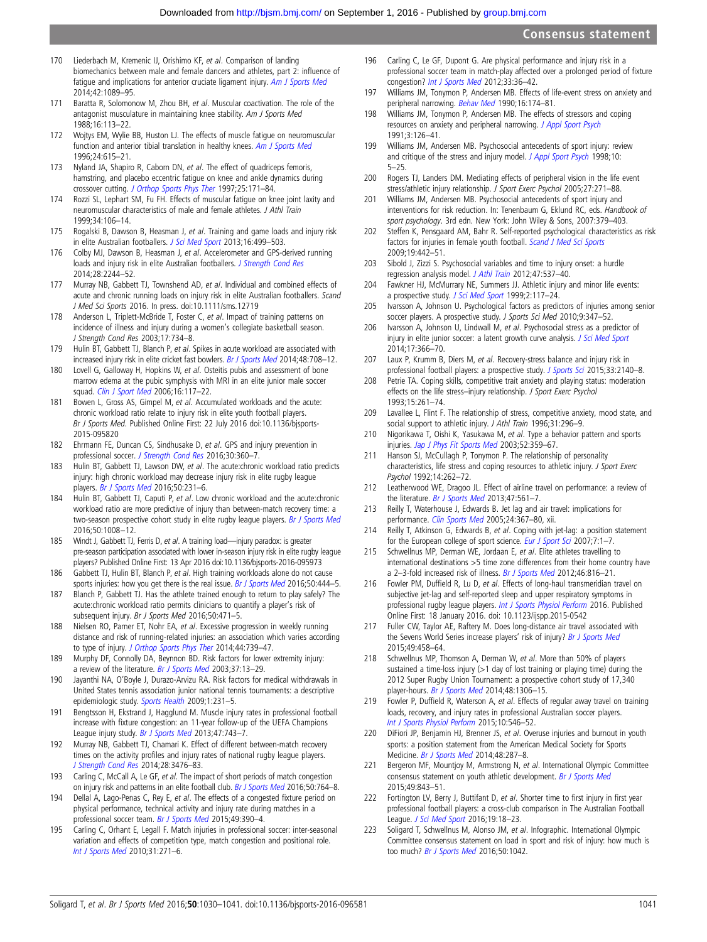- <span id="page-11-0"></span>170 Liederbach M, Kremenic IJ, Orishimo KF, et al. Comparison of landing biomechanics between male and female dancers and athletes, part 2: influence of fatique and implications for anterior cruciate ligament injury. [Am J Sports Med](http://dx.doi.org/10.1177/0363546514524525) 2014;42:1089–95.
- 171 Baratta R, Solomonow M, Zhou BH, et al. Muscular coactivation. The role of the antagonist musculature in maintaining knee stability. Am J Sports Med 1988;16:113–22.
- 172 Wojtys EM, Wylie BB, Huston LJ. The effects of muscle fatigue on neuromuscular function and anterior tibial translation in healthy knees. [Am J Sports Med](http://dx.doi.org/10.1177/036354659602400509) 1996;24:615–21.
- 173 Nyland JA, Shapiro R, Caborn DN, et al. The effect of quadriceps femoris, hamstring, and placebo eccentric fatigue on knee and ankle dynamics during crossover cutting. [J Orthop Sports Phys Ther](http://dx.doi.org/10.2519/jospt.1997.25.3.171) 1997;25:171–84.
- 174 Rozzi SL, Lephart SM, Fu FH. Effects of muscular fatigue on knee joint laxity and neuromuscular characteristics of male and female athletes. J Athl Train 1999;34:106–14.
- 175 Rogalski B, Dawson B, Heasman J, et al. Training and game loads and injury risk in elite Australian footballers. [J Sci Med Sport](http://dx.doi.org/10.1016/j.jsams.2012.12.004) 2013;16:499-503.
- 176 Colby MJ, Dawson B, Heasman J, et al. Accelerometer and GPS-derived running loads and injury risk in elite Australian footballers. [J Strength Cond Res](http://dx.doi.org/10.1519/JSC.0000000000000362) 2014;28:2244–52.
- 177 Murray NB, Gabbett TJ, Townshend AD, et al. Individual and combined effects of acute and chronic running loads on injury risk in elite Australian footballers. Scand J Med Sci Sports 2016. In press. doi:10.1111/sms.12719
- 178 Anderson L, Triplett-McBride T, Foster C, et al. Impact of training patterns on incidence of illness and injury during a women's collegiate basketball season. J Strength Cond Res 2003;17:734–8.
- 179 Hulin BT, Gabbett TJ, Blanch P, et al. Spikes in acute workload are associated with increased injury risk in elite cricket fast bowlers. [Br J Sports Med](http://dx.doi.org/10.1136/bjsports-2013-092524) 2014;48:708-12.
- 180 Lovell G, Galloway H, Hopkins W, et al. Osteitis pubis and assessment of bone marrow edema at the pubic symphysis with MRI in an elite junior male soccer squad. [Clin J Sport Med](http://dx.doi.org/10.1097/00042752-200603000-00006) 2006;16:117-22.
- 181 Bowen L, Gross AS, Gimpel M, et al. Accumulated workloads and the acute: chronic workload ratio relate to injury risk in elite youth football players. Br J Sports Med. Published Online First: 22 July 2016 doi:10.1136/bjsports-2015-095820
- 182 Ehrmann FE, Duncan CS, Sindhusake D, et al. GPS and injury prevention in professional soccer. [J Strength Cond Res](http://dx.doi.org/10.1519/JSC.0000000000001093) 2016;30:360-7.
- 183 Hulin BT, Gabbett TJ, Lawson DW, et al. The acute: chronic workload ratio predicts injury: high chronic workload may decrease injury risk in elite rugby league players. [Br J Sports Med](http://dx.doi.org/10.1136/bjsports-2015-094817) 2016;50:231–6.
- 184 Hulin BT, Gabbett TJ, Caputi P, et al. Low chronic workload and the acute: chronic workload ratio are more predictive of injury than between-match recovery time: a two-season prospective cohort study in elite rugby league players. [Br J Sports Med](http://dx.doi.org/10.1136/bjsports-2015-095364) 2016;50:1008–12.
- 185 Windt J, Gabbett TJ, Ferris D, et al. A training load—injury paradox: is greater pre-season participation associated with lower in-season injury risk in elite rugby league players? Published Online First: 13 Apr 2016 doi:10.1136/bjsports-2016-095973
- 186 Gabbett TJ, Hulin BT, Blanch P, et al. High training workloads alone do not cause sports injuries: how you get there is the real issue. [Br J Sports Med](http://dx.doi.org/10.1136/bjsports-2015-095567) 2016;50:444-5.
- 187 Blanch P, Gabbett TJ. Has the athlete trained enough to return to play safely? The acute:chronic workload ratio permits clinicians to quantify a player's risk of subsequent injury. Br J Sports Med 2016;50:471–5.
- 188 Nielsen RO, Parner ET, Nohr EA, et al. Excessive progression in weekly running distance and risk of running-related injuries: an association which varies according to type of injury. [J Orthop Sports Phys Ther](http://dx.doi.org/10.2519/jospt.2014.5164) 2014;44:739–47.
- 189 Murphy DF, Connolly DA, Beynnon BD. Risk factors for lower extremity injury: a review of the literature. [Br J Sports Med](http://dx.doi.org/10.1136/bjsm.37.1.13) 2003;37:13–29.
- 190 Jayanthi NA, O'Boyle J, Durazo-Arvizu RA. Risk factors for medical withdrawals in United States tennis association junior national tennis tournaments: a descriptive epidemiologic study. [Sports Health](http://dx.doi.org/10.1177/1941738109334274) 2009;1:231–5.
- 191 Bengtsson H, Ekstrand J, Hagglund M. Muscle injury rates in professional football increase with fixture congestion: an 11-year follow-up of the UEFA Champions League injury study. [Br J Sports Med](http://dx.doi.org/10.1136/bjsports-2013-092383) 2013;47:743-7.
- 192 Murray NB, Gabbett TJ, Chamari K. Effect of different between-match recovery times on the activity profiles and injury rates of national rugby league players. [J Strength Cond Res](http://dx.doi.org/10.1519/JSC.0000000000000603) 2014;28:3476–83.
- 193 Carling C, McCall A, Le GF, et al. The impact of short periods of match congestion on injury risk and patterns in an elite football club. [Br J Sports Med](http://dx.doi.org/10.1136/bjsports-2015-095501) 2016;50:764-8.
- 194 Dellal A, Lago-Penas C, Rey E, et al. The effects of a congested fixture period on physical performance, technical activity and injury rate during matches in a professional soccer team. [Br J Sports Med](http://dx.doi.org/10.1136/bjsports-2012-091290) 2015;49:390-4.
- 195 Carling C, Orhant E, Legall F. Match injuries in professional soccer: inter-seasonal variation and effects of competition type, match congestion and positional role. [Int J Sports Med](http://dx.doi.org/10.1055/s-0029-1243646) 2010;31:271–6.
- 196 Carling C, Le GF, Dupont G. Are physical performance and injury risk in a professional soccer team in match-play affected over a prolonged period of fixture congestion? [Int J Sports Med](http://dx.doi.org/10.1055/s-0031-1283190) 2012;33:36-42.
- 197 Williams JM, Tonymon P, Andersen MB. Effects of life-event stress on anxiety and peripheral narrowing. [Behav Med](http://dx.doi.org/10.1080/08964289.1990.9934606) 1990;16:174-81.
- 198 Williams JM, Tonymon P, Andersen MB. The effects of stressors and coping resources on anxiety and peripheral narrowing. [J Appl Sport Psych](http://dx.doi.org/10.1080/10413209108406439) 1991;3:126–41.
- 199 Williams JM, Andersen MB. Psychosocial antecedents of sport injury: review and critique of the stress and injury model. [J Appl Sport Psych](http://dx.doi.org/10.1080/10413209808406375) 1998;10: 5–25.
- 200 Rogers TJ, Landers DM. Mediating effects of peripheral vision in the life event stress/athletic injury relationship. J Sport Exerc Psychol 2005;27:271–88.
- 201 Williams JM, Andersen MB. Psychosocial antecedents of sport injury and interventions for risk reduction. In: Tenenbaum G, Eklund RC, eds. Handbook of sport psychology. 3rd edn. New York: John Wiley & Sons, 2007:379–403.
- 202 Steffen K, Pensgaard AM, Bahr R. Self-reported psychological characteristics as risk factors for injuries in female youth football. [Scand J Med Sci Sports](http://dx.doi.org/10.1111/j.1600-0838.2008.00797.x) 2009;19:442–51.
- 203 Sibold J, Zizzi S. Psychosocial variables and time to injury onset: a hurdle regression analysis model. [J Athl Train](http://dx.doi.org/10.4085/1062-6050-47.3.15) 2012;47:537-40.
- 204 Fawkner HJ, McMurrary NE, Summers JJ. Athletic injury and minor life events: a prospective study. [J Sci Med Sport](http://dx.doi.org/10.1016/S1440-2440(99)80191-1) 1999;2:117-24.
- 205 Ivarsson A, Johnson U. Psychological factors as predictors of injuries among senior soccer players. A prospective study. J Sports Sci Med 2010;9:347–52.
- 206 Ivarsson A, Johnson U, Lindwall M, et al. Psychosocial stress as a predictor of injury in elite junior soccer: a latent growth curve analysis. [J Sci Med Sport](http://dx.doi.org/10.1016/j.jsams.2013.10.242) 2014;17:366–70.
- 207 Laux P, Krumm B, Diers M, et al. Recovery-stress balance and injury risk in professional football players: a prospective study. [J Sports Sci](http://dx.doi.org/10.1080/02640414.2015.1064538) 2015;33:2140-8.
- 208 Petrie TA. Coping skills, competitive trait anxiety and playing status: moderation effects on the life stress-injury relationship. J Sport Exerc Psychol 1993;15:261–74.
- 209 Lavallee L, Flint F. The relationship of stress, competitive anxiety, mood state, and social support to athletic injury. J Athl Train 1996;31:296-9.
- 210 Nigorikawa T, Oishi K, Yasukawa M, et al. Type a behavior pattern and sports injuries. [Jap J Phys Fit Sports Med](http://dx.doi.org/10.7600/jspfsm1949.52.359) 2003;52:359-67.
- 211 Hanson SJ, McCullagh P, Tonymon P. The relationship of personality characteristics, life stress and coping resources to athletic injury. J Sport Exerc Psychol 1992;14:262–72.
- 212 Leatherwood WE, Dragoo JL. Effect of airline travel on performance: a review of the literature. [Br J Sports Med](http://dx.doi.org/10.1136/bjsports-2012-091449) 2013;47:561-7.
- 213 Reilly T, Waterhouse J, Edwards B. Jet lag and air travel: implications for performance. [Clin Sports Med](http://dx.doi.org/10.1016/j.csm.2004.12.004) 2005;24:367-80, xii.
- 214 Reilly T, Atkinson G, Edwards B, et al. Coping with jet-lag: a position statement for the European college of sport science. [Eur J Sport Sci](http://dx.doi.org/10.1080/17461390701216823) 2007;7:1-7.
- 215 Schwellnus MP, Derman WE, Jordaan E, et al. Elite athletes travelling to international destinations >5 time zone differences from their home country have a 2-3-fold increased risk of illness. [Br J Sports Med](http://dx.doi.org/10.1136/bjsports-2012-091395) 2012;46:816-21.
- 216 Fowler PM, Duffield R, Lu D, et al. Effects of long-haul transmeridian travel on subjective jet-lag and self-reported sleep and upper respiratory symptoms in professional rugby league players. [Int J Sports Physiol Perform](http://dx.doi.org/10.1123/ijspp.2015-0542) 2016. Published Online First: 18 January 2016. doi: 10.1123/ijspp.2015-0542
- 217 Fuller CW, Taylor AE, Raftery M. Does long-distance air travel associated with the Sevens World Series increase players' risk of injury? [Br J Sports Med](http://dx.doi.org/10.1136/bjsports-2014-094369) 2015;49:458–64.
- 218 Schwellnus MP, Thomson A, Derman W, et al. More than 50% of players sustained a time-loss injury (>1 day of lost training or playing time) during the 2012 Super Rugby Union Tournament: a prospective cohort study of 17,340 player-hours. [Br J Sports Med](http://dx.doi.org/10.1136/bjsports-2014-093745) 2014;48:1306–15.
- 219 Fowler P, Duffield R, Waterson A, et al. Effects of regular away travel on training loads, recovery, and injury rates in professional Australian soccer players. [Int J Sports Physiol Perform](http://dx.doi.org/10.1123/ijspp.2014-0266) 2015;10:546-52.
- 220 DiFiori JP, Benjamin HJ, Brenner JS, et al. Overuse injuries and burnout in youth sports: a position statement from the American Medical Society for Sports Medicine. [Br J Sports Med](http://dx.doi.org/10.1136/bjsports-2013-093299) 2014;48:287–8.
- 221 Bergeron MF, Mountjoy M, Armstrong N, et al. International Olympic Committee consensus statement on youth athletic development. [Br J Sports Med](http://dx.doi.org/10.1136/bjsports-2015-094962) 2015;49:843–51.
- 222 Fortington LV, Berry J, Buttifant D, et al. Shorter time to first injury in first year professional football players: a cross-club comparison in The Australian Football League. [J Sci Med Sport](http://dx.doi.org/10.1016/j.jsams.2014.12.008) 2016;19:18-23.
- 223 Soligard T, Schwellnus M, Alonso JM, et al. Infographic. International Olympic Committee consensus statement on load in sport and risk of injury: how much is too much? [Br J Sports Med](http://dx.doi.org/10.1136/bjsports-2016-096583) 2016;50:1042.